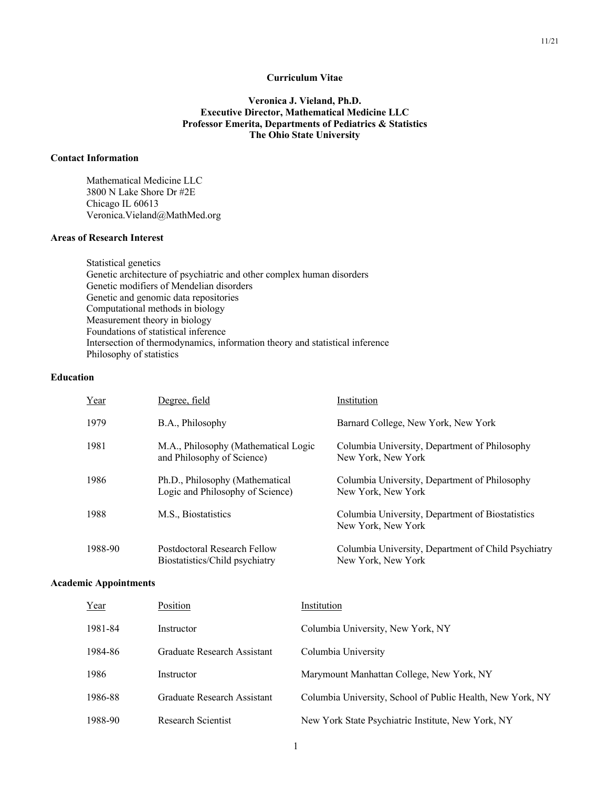# **Curriculum Vitae**

# **Veronica J. Vieland, Ph.D. Executive Director, Mathematical Medicine LLC Professor Emerita, Departments of Pediatrics & Statistics The Ohio State University**

## **Contact Information**

Mathematical Medicine LLC 3800 N Lake Shore Dr #2E Chicago IL 60613 Veronica.Vieland@MathMed.org

#### **Areas of Research Interest**

 Statistical genetics Genetic architecture of psychiatric and other complex human disorders Genetic modifiers of Mendelian disorders Genetic and genomic data repositories Computational methods in biology Measurement theory in biology Foundations of statistical inference Intersection of thermodynamics, information theory and statistical inference Philosophy of statistics

### **Education**

| Year    | Degree, field                                                       | Institution                                                               |
|---------|---------------------------------------------------------------------|---------------------------------------------------------------------------|
| 1979    | B.A., Philosophy                                                    | Barnard College, New York, New York                                       |
| 1981    | M.A., Philosophy (Mathematical Logic<br>and Philosophy of Science)  | Columbia University, Department of Philosophy<br>New York, New York       |
| 1986    | Ph.D., Philosophy (Mathematical<br>Logic and Philosophy of Science) | Columbia University, Department of Philosophy<br>New York, New York       |
| 1988    | M.S., Biostatistics                                                 | Columbia University, Department of Biostatistics<br>New York, New York    |
| 1988-90 | Postdoctoral Research Fellow<br>Biostatistics/Child psychiatry      | Columbia University, Department of Child Psychiatry<br>New York, New York |

# **Academic Appointments**

| <u>Year</u> | Position                    | Institution                                                |
|-------------|-----------------------------|------------------------------------------------------------|
| 1981-84     | Instructor                  | Columbia University, New York, NY                          |
| 1984-86     | Graduate Research Assistant | Columbia University                                        |
| 1986        | Instructor                  | Marymount Manhattan College, New York, NY                  |
| 1986-88     | Graduate Research Assistant | Columbia University, School of Public Health, New York, NY |
| 1988-90     | Research Scientist          | New York State Psychiatric Institute, New York, NY         |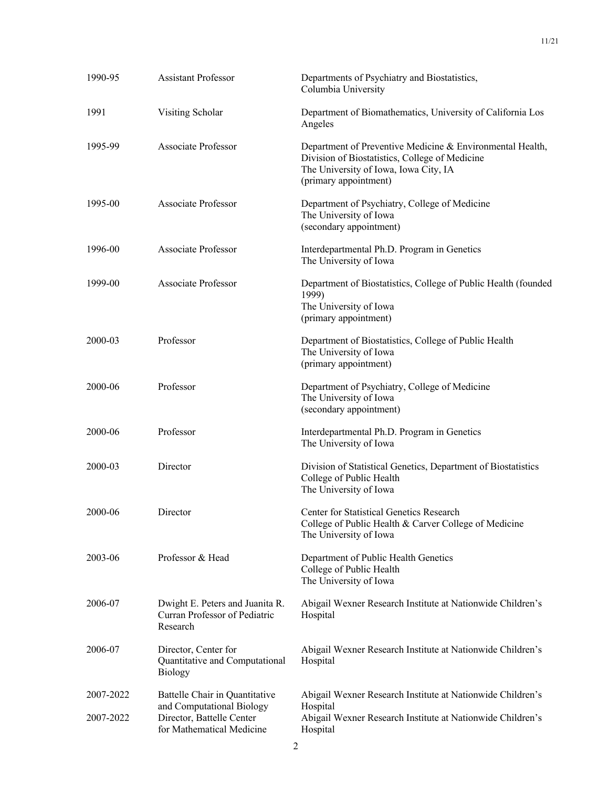| 1990-95   | <b>Assistant Professor</b>                                                          | Departments of Psychiatry and Biostatistics,<br>Columbia University                                                                                                           |
|-----------|-------------------------------------------------------------------------------------|-------------------------------------------------------------------------------------------------------------------------------------------------------------------------------|
| 1991      | Visiting Scholar                                                                    | Department of Biomathematics, University of California Los<br>Angeles                                                                                                         |
| 1995-99   | Associate Professor                                                                 | Department of Preventive Medicine & Environmental Health,<br>Division of Biostatistics, College of Medicine<br>The University of Iowa, Iowa City, IA<br>(primary appointment) |
| 1995-00   | <b>Associate Professor</b>                                                          | Department of Psychiatry, College of Medicine<br>The University of Iowa<br>(secondary appointment)                                                                            |
| 1996-00   | Associate Professor                                                                 | Interdepartmental Ph.D. Program in Genetics<br>The University of Iowa                                                                                                         |
| 1999-00   | Associate Professor                                                                 | Department of Biostatistics, College of Public Health (founded<br>1999)<br>The University of Iowa<br>(primary appointment)                                                    |
| 2000-03   | Professor                                                                           | Department of Biostatistics, College of Public Health<br>The University of Iowa<br>(primary appointment)                                                                      |
| 2000-06   | Professor                                                                           | Department of Psychiatry, College of Medicine<br>The University of Iowa<br>(secondary appointment)                                                                            |
| 2000-06   | Professor                                                                           | Interdepartmental Ph.D. Program in Genetics<br>The University of Iowa                                                                                                         |
| 2000-03   | Director                                                                            | Division of Statistical Genetics, Department of Biostatistics<br>College of Public Health<br>The University of Iowa                                                           |
| 2000-06   | Director                                                                            | Center for Statistical Genetics Research<br>College of Public Health & Carver College of Medicine<br>The University of Iowa                                                   |
| 2003-06   | Professor & Head                                                                    | Department of Public Health Genetics<br>College of Public Health<br>The University of Iowa                                                                                    |
| 2006-07   | Dwight E. Peters and Juanita R.<br>Curran Professor of Pediatric<br>Research        | Abigail Wexner Research Institute at Nationwide Children's<br>Hospital                                                                                                        |
| 2006-07   | Director, Center for<br>Quantitative and Computational<br><b>Biology</b>            | Abigail Wexner Research Institute at Nationwide Children's<br>Hospital                                                                                                        |
| 2007-2022 | Battelle Chair in Quantitative                                                      | Abigail Wexner Research Institute at Nationwide Children's                                                                                                                    |
| 2007-2022 | and Computational Biology<br>Director, Battelle Center<br>for Mathematical Medicine | Hospital<br>Abigail Wexner Research Institute at Nationwide Children's<br>Hospital                                                                                            |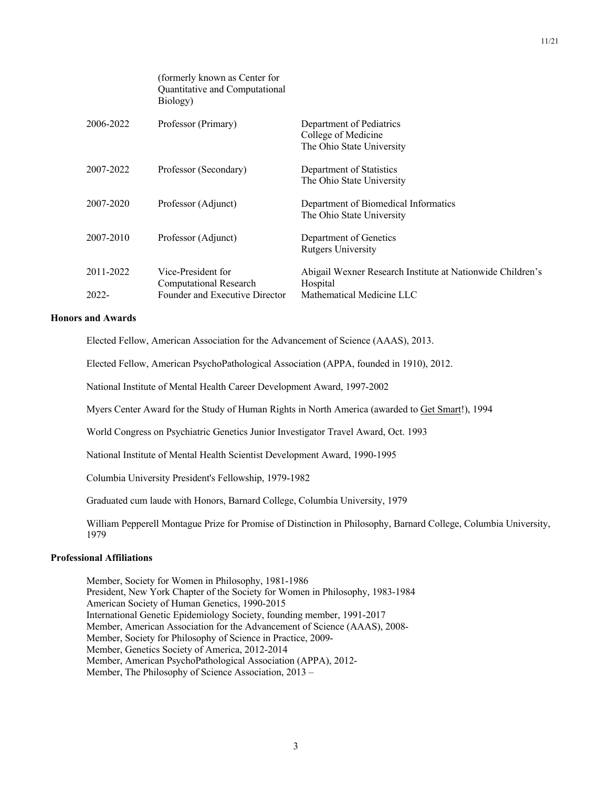|                    | (formerly known as Center for<br>Quantitative and Computational<br>Biology)    |                                                                                                     |
|--------------------|--------------------------------------------------------------------------------|-----------------------------------------------------------------------------------------------------|
| 2006-2022          | Professor (Primary)                                                            | Department of Pediatrics<br>College of Medicine<br>The Ohio State University                        |
| 2007-2022          | Professor (Secondary)                                                          | Department of Statistics<br>The Ohio State University                                               |
| 2007-2020          | Professor (Adjunct)                                                            | Department of Biomedical Informatics<br>The Ohio State University                                   |
| 2007-2010          | Professor (Adjunct)                                                            | Department of Genetics<br><b>Rutgers University</b>                                                 |
| 2011-2022<br>2022- | Vice-President for<br>Computational Research<br>Founder and Executive Director | Abigail Wexner Research Institute at Nationwide Children's<br>Hospital<br>Mathematical Medicine LLC |
|                    |                                                                                |                                                                                                     |

## **Honors and Awards**

Elected Fellow, American Association for the Advancement of Science (AAAS), 2013.

Elected Fellow, American PsychoPathological Association (APPA, founded in 1910), 2012.

National Institute of Mental Health Career Development Award, 1997-2002

Myers Center Award for the Study of Human Rights in North America (awarded to Get Smart!), 1994

World Congress on Psychiatric Genetics Junior Investigator Travel Award, Oct. 1993

National Institute of Mental Health Scientist Development Award, 1990-1995

Columbia University President's Fellowship, 1979-1982

Graduated cum laude with Honors, Barnard College, Columbia University, 1979

William Pepperell Montague Prize for Promise of Distinction in Philosophy, Barnard College, Columbia University, 1979

# **Professional Affiliations**

 Member, Society for Women in Philosophy, 1981-1986 President, New York Chapter of the Society for Women in Philosophy, 1983-1984 American Society of Human Genetics, 1990-2015 International Genetic Epidemiology Society, founding member, 1991-2017 Member, American Association for the Advancement of Science (AAAS), 2008- Member, Society for Philosophy of Science in Practice, 2009- Member, Genetics Society of America, 2012-2014 Member, American PsychoPathological Association (APPA), 2012- Member, The Philosophy of Science Association, 2013 –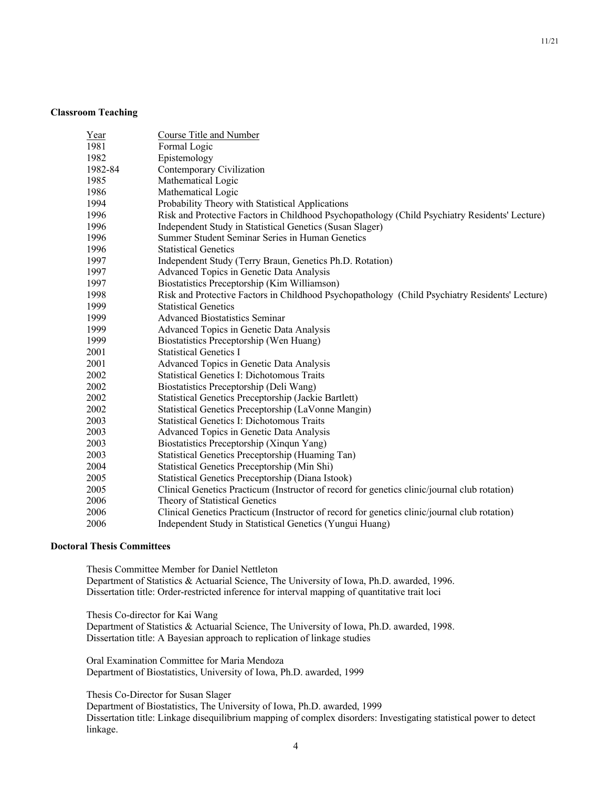### **Classroom Teaching**

| Year    | Course Title and Number                                                                        |
|---------|------------------------------------------------------------------------------------------------|
| 1981    | Formal Logic                                                                                   |
| 1982    | Epistemology                                                                                   |
| 1982-84 | Contemporary Civilization                                                                      |
| 1985    | Mathematical Logic                                                                             |
| 1986    | Mathematical Logic                                                                             |
| 1994    | Probability Theory with Statistical Applications                                               |
| 1996    | Risk and Protective Factors in Childhood Psychopathology (Child Psychiatry Residents' Lecture) |
| 1996    | Independent Study in Statistical Genetics (Susan Slager)                                       |
| 1996    | Summer Student Seminar Series in Human Genetics                                                |
| 1996    | <b>Statistical Genetics</b>                                                                    |
| 1997    | Independent Study (Terry Braun, Genetics Ph.D. Rotation)                                       |
| 1997    | Advanced Topics in Genetic Data Analysis                                                       |
| 1997    | Biostatistics Preceptorship (Kim Williamson)                                                   |
| 1998    | Risk and Protective Factors in Childhood Psychopathology (Child Psychiatry Residents' Lecture) |
| 1999    | <b>Statistical Genetics</b>                                                                    |
| 1999    | <b>Advanced Biostatistics Seminar</b>                                                          |
| 1999    | Advanced Topics in Genetic Data Analysis                                                       |
| 1999    | Biostatistics Preceptorship (Wen Huang)                                                        |
| 2001    | <b>Statistical Genetics I</b>                                                                  |
| 2001    | Advanced Topics in Genetic Data Analysis                                                       |
| 2002    | <b>Statistical Genetics I: Dichotomous Traits</b>                                              |
| 2002    | Biostatistics Preceptorship (Deli Wang)                                                        |
| 2002    | Statistical Genetics Preceptorship (Jackie Bartlett)                                           |
| 2002    | Statistical Genetics Preceptorship (LaVonne Mangin)                                            |
| 2003    | <b>Statistical Genetics I: Dichotomous Traits</b>                                              |
| 2003    | Advanced Topics in Genetic Data Analysis                                                       |
| 2003    | Biostatistics Preceptorship (Xinqun Yang)                                                      |
| 2003    | Statistical Genetics Preceptorship (Huaming Tan)                                               |
| 2004    | Statistical Genetics Preceptorship (Min Shi)                                                   |
| 2005    | Statistical Genetics Preceptorship (Diana Istook)                                              |
| 2005    | Clinical Genetics Practicum (Instructor of record for genetics clinic/journal club rotation)   |
| 2006    | Theory of Statistical Genetics                                                                 |
| 2006    | Clinical Genetics Practicum (Instructor of record for genetics clinic/journal club rotation)   |
| 2006    | Independent Study in Statistical Genetics (Yungui Huang)                                       |

# **Doctoral Thesis Committees**

 Thesis Committee Member for Daniel Nettleton Department of Statistics & Actuarial Science, The University of Iowa, Ph.D. awarded, 1996. Dissertation title: Order-restricted inference for interval mapping of quantitative trait loci

Thesis Co-director for Kai Wang

 Department of Statistics & Actuarial Science, The University of Iowa, Ph.D. awarded, 1998. Dissertation title: A Bayesian approach to replication of linkage studies

Oral Examination Committee for Maria Mendoza Department of Biostatistics, University of Iowa, Ph.D. awarded, 1999

Thesis Co-Director for Susan Slager

 Department of Biostatistics, The University of Iowa, Ph.D. awarded, 1999 Dissertation title: Linkage disequilibrium mapping of complex disorders: Investigating statistical power to detect linkage.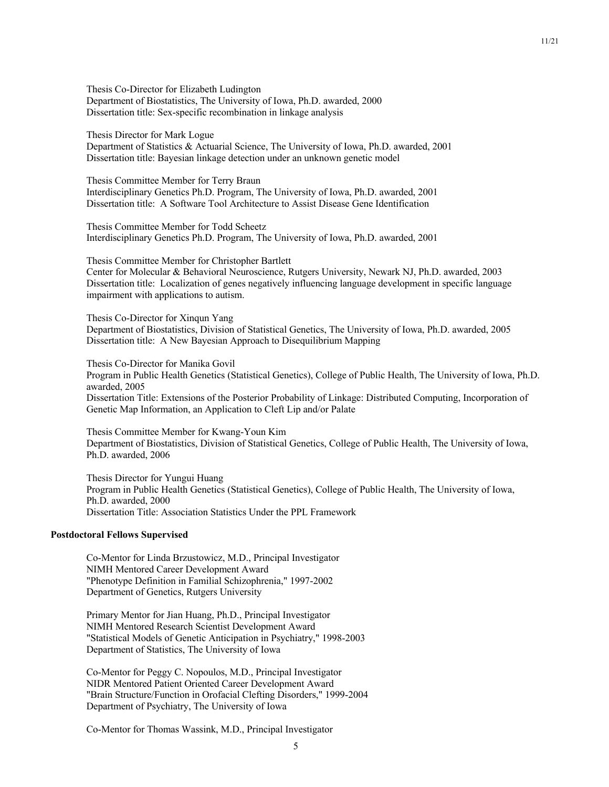Thesis Co-Director for Elizabeth Ludington Department of Biostatistics, The University of Iowa, Ph.D. awarded, 2000 Dissertation title: Sex-specific recombination in linkage analysis

Thesis Director for Mark Logue Department of Statistics & Actuarial Science, The University of Iowa, Ph.D. awarded, 2001 Dissertation title: Bayesian linkage detection under an unknown genetic model

 Thesis Committee Member for Terry Braun Interdisciplinary Genetics Ph.D. Program, The University of Iowa, Ph.D. awarded, 2001 Dissertation title: A Software Tool Architecture to Assist Disease Gene Identification

 Thesis Committee Member for Todd Scheetz Interdisciplinary Genetics Ph.D. Program, The University of Iowa, Ph.D. awarded, 2001

Thesis Committee Member for Christopher Bartlett

Center for Molecular & Behavioral Neuroscience, Rutgers University, Newark NJ, Ph.D. awarded, 2003 Dissertation title: Localization of genes negatively influencing language development in specific language impairment with applications to autism.

Thesis Co-Director for Xinqun Yang Department of Biostatistics, Division of Statistical Genetics, The University of Iowa, Ph.D. awarded, 2005 Dissertation title: A New Bayesian Approach to Disequilibrium Mapping

Thesis Co-Director for Manika Govil

Program in Public Health Genetics (Statistical Genetics), College of Public Health, The University of Iowa, Ph.D. awarded, 2005

Dissertation Title: Extensions of the Posterior Probability of Linkage: Distributed Computing, Incorporation of Genetic Map Information, an Application to Cleft Lip and/or Palate

Thesis Committee Member for Kwang-Youn Kim Department of Biostatistics, Division of Statistical Genetics, College of Public Health, The University of Iowa, Ph.D. awarded, 2006

Thesis Director for Yungui Huang Program in Public Health Genetics (Statistical Genetics), College of Public Health, The University of Iowa, Ph.D. awarded, 2000 Dissertation Title: Association Statistics Under the PPL Framework

## **Postdoctoral Fellows Supervised**

Co-Mentor for Linda Brzustowicz, M.D., Principal Investigator NIMH Mentored Career Development Award "Phenotype Definition in Familial Schizophrenia," 1997-2002 Department of Genetics, Rutgers University

 Primary Mentor for Jian Huang, Ph.D., Principal Investigator NIMH Mentored Research Scientist Development Award "Statistical Models of Genetic Anticipation in Psychiatry," 1998-2003 Department of Statistics, The University of Iowa

Co-Mentor for Peggy C. Nopoulos, M.D., Principal Investigator NIDR Mentored Patient Oriented Career Development Award "Brain Structure/Function in Orofacial Clefting Disorders," 1999-2004 Department of Psychiatry, The University of Iowa

Co-Mentor for Thomas Wassink, M.D., Principal Investigator

11/21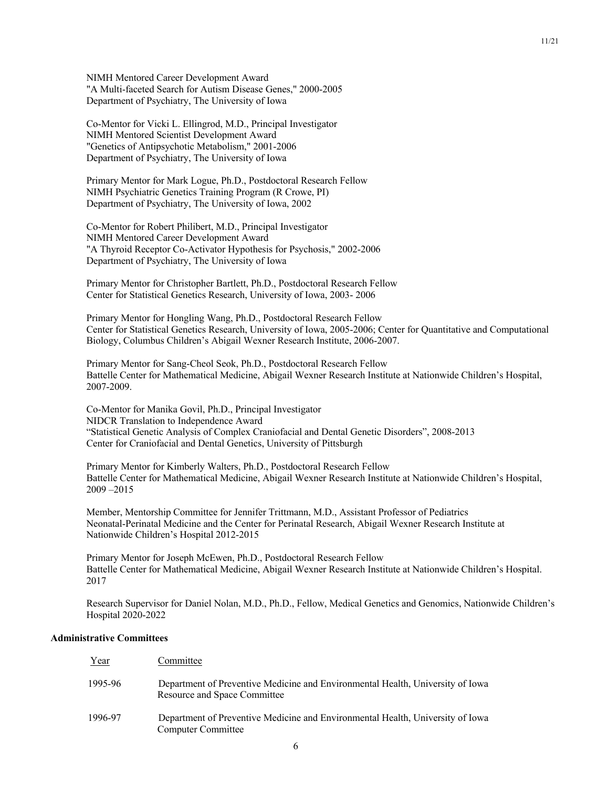NIMH Mentored Career Development Award "A Multi-faceted Search for Autism Disease Genes," 2000-2005 Department of Psychiatry, The University of Iowa

Co-Mentor for Vicki L. Ellingrod, M.D., Principal Investigator NIMH Mentored Scientist Development Award "Genetics of Antipsychotic Metabolism," 2001-2006 Department of Psychiatry, The University of Iowa

Primary Mentor for Mark Logue, Ph.D., Postdoctoral Research Fellow NIMH Psychiatric Genetics Training Program (R Crowe, PI) Department of Psychiatry, The University of Iowa, 2002

Co-Mentor for Robert Philibert, M.D., Principal Investigator NIMH Mentored Career Development Award "A Thyroid Receptor Co-Activator Hypothesis for Psychosis," 2002-2006 Department of Psychiatry, The University of Iowa

Primary Mentor for Christopher Bartlett, Ph.D., Postdoctoral Research Fellow Center for Statistical Genetics Research, University of Iowa, 2003- 2006

Primary Mentor for Hongling Wang, Ph.D., Postdoctoral Research Fellow Center for Statistical Genetics Research, University of Iowa, 2005-2006; Center for Quantitative and Computational Biology, Columbus Children's Abigail Wexner Research Institute, 2006-2007.

Primary Mentor for Sang-Cheol Seok, Ph.D., Postdoctoral Research Fellow Battelle Center for Mathematical Medicine, Abigail Wexner Research Institute at Nationwide Children's Hospital, 2007-2009.

Co-Mentor for Manika Govil, Ph.D., Principal Investigator NIDCR Translation to Independence Award "Statistical Genetic Analysis of Complex Craniofacial and Dental Genetic Disorders", 2008-2013 Center for Craniofacial and Dental Genetics, University of Pittsburgh

Primary Mentor for Kimberly Walters, Ph.D., Postdoctoral Research Fellow Battelle Center for Mathematical Medicine, Abigail Wexner Research Institute at Nationwide Children's Hospital, 2009 –2015

Member, Mentorship Committee for Jennifer Trittmann, M.D., Assistant Professor of Pediatrics Neonatal-Perinatal Medicine and the Center for Perinatal Research, Abigail Wexner Research Institute at Nationwide Children's Hospital 2012-2015

Primary Mentor for Joseph McEwen, Ph.D., Postdoctoral Research Fellow Battelle Center for Mathematical Medicine, Abigail Wexner Research Institute at Nationwide Children's Hospital. 2017

Research Supervisor for Daniel Nolan, M.D., Ph.D., Fellow, Medical Genetics and Genomics, Nationwide Children's Hospital 2020-2022

### **Administrative Committees**

| Year    | Committee                                                                                                      |
|---------|----------------------------------------------------------------------------------------------------------------|
| 1995-96 | Department of Preventive Medicine and Environmental Health, University of Iowa<br>Resource and Space Committee |
| 1996-97 | Department of Preventive Medicine and Environmental Health, University of Iowa<br>Computer Committee           |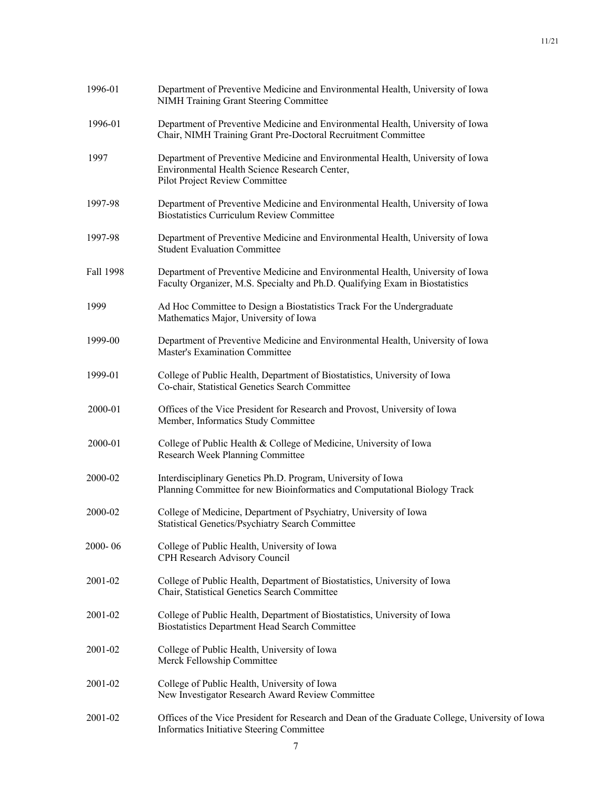| 1996-01   | Department of Preventive Medicine and Environmental Health, University of Iowa<br><b>NIMH Training Grant Steering Committee</b>                                   |
|-----------|-------------------------------------------------------------------------------------------------------------------------------------------------------------------|
| 1996-01   | Department of Preventive Medicine and Environmental Health, University of Iowa<br>Chair, NIMH Training Grant Pre-Doctoral Recruitment Committee                   |
| 1997      | Department of Preventive Medicine and Environmental Health, University of Iowa<br>Environmental Health Science Research Center,<br>Pilot Project Review Committee |
| 1997-98   | Department of Preventive Medicine and Environmental Health, University of Iowa<br><b>Biostatistics Curriculum Review Committee</b>                                |
| 1997-98   | Department of Preventive Medicine and Environmental Health, University of Iowa<br><b>Student Evaluation Committee</b>                                             |
| Fall 1998 | Department of Preventive Medicine and Environmental Health, University of Iowa<br>Faculty Organizer, M.S. Specialty and Ph.D. Qualifying Exam in Biostatistics    |
| 1999      | Ad Hoc Committee to Design a Biostatistics Track For the Undergraduate<br>Mathematics Major, University of Iowa                                                   |
| 1999-00   | Department of Preventive Medicine and Environmental Health, University of Iowa<br><b>Master's Examination Committee</b>                                           |
| 1999-01   | College of Public Health, Department of Biostatistics, University of Iowa<br>Co-chair, Statistical Genetics Search Committee                                      |
| 2000-01   | Offices of the Vice President for Research and Provost, University of Iowa<br>Member, Informatics Study Committee                                                 |
| 2000-01   | College of Public Health & College of Medicine, University of Iowa<br>Research Week Planning Committee                                                            |
| 2000-02   | Interdisciplinary Genetics Ph.D. Program, University of Iowa<br>Planning Committee for new Bioinformatics and Computational Biology Track                         |
| 2000-02   | College of Medicine, Department of Psychiatry, University of Iowa<br><b>Statistical Genetics/Psychiatry Search Committee</b>                                      |
| 2000-06   | College of Public Health, University of Iowa<br>CPH Research Advisory Council                                                                                     |
| 2001-02   | College of Public Health, Department of Biostatistics, University of Iowa<br>Chair, Statistical Genetics Search Committee                                         |
| 2001-02   | College of Public Health, Department of Biostatistics, University of Iowa<br>Biostatistics Department Head Search Committee                                       |
| 2001-02   | College of Public Health, University of Iowa<br>Merck Fellowship Committee                                                                                        |
| 2001-02   | College of Public Health, University of Iowa<br>New Investigator Research Award Review Committee                                                                  |
| 2001-02   | Offices of the Vice President for Research and Dean of the Graduate College, University of Iowa<br>Informatics Initiative Steering Committee                      |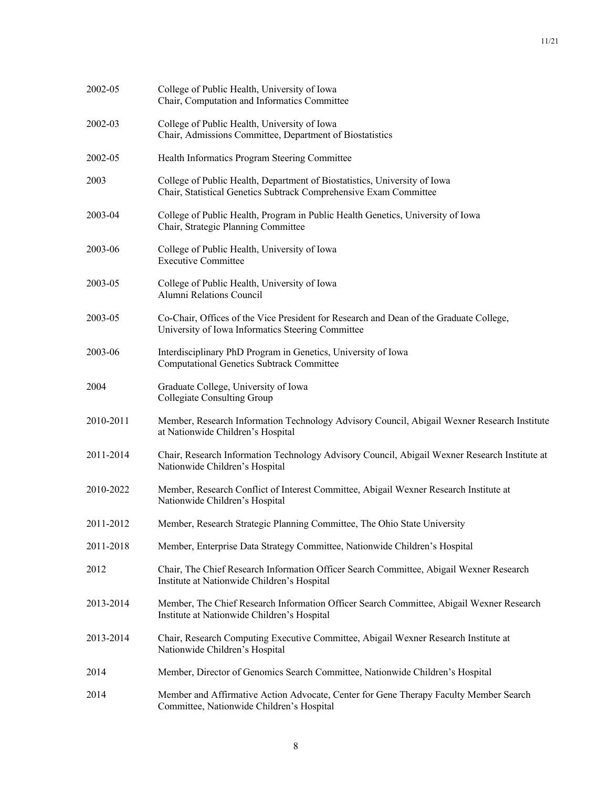| 2002-05   | College of Public Health, University of Iowa<br>Chair, Computation and Informatics Committee                                                   |
|-----------|------------------------------------------------------------------------------------------------------------------------------------------------|
| 2002-03   | College of Public Health, University of Iowa<br>Chair, Admissions Committee, Department of Biostatistics                                       |
| 2002-05   | Health Informatics Program Steering Committee                                                                                                  |
| 2003      | College of Public Health, Department of Biostatistics, University of Iowa<br>Chair, Statistical Genetics Subtrack Comprehensive Exam Committee |
| 2003-04   | College of Public Health, Program in Public Health Genetics, University of Iowa<br>Chair, Strategic Planning Committee                         |
| 2003-06   | College of Public Health, University of Iowa<br><b>Executive Committee</b>                                                                     |
| 2003-05   | College of Public Health, University of Iowa<br>Alumni Relations Council                                                                       |
| 2003-05   | Co-Chair, Offices of the Vice President for Research and Dean of the Graduate College,<br>University of Iowa Informatics Steering Committee    |
| 2003-06   | Interdisciplinary PhD Program in Genetics, University of Iowa<br><b>Computational Genetics Subtrack Committee</b>                              |
| 2004      | Graduate College, University of Iowa<br>Collegiate Consulting Group                                                                            |
| 2010-2011 | Member, Research Information Technology Advisory Council, Abigail Wexner Research Institute<br>at Nationwide Children's Hospital               |
| 2011-2014 | Chair, Research Information Technology Advisory Council, Abigail Wexner Research Institute at<br>Nationwide Children's Hospital                |
| 2010-2022 | Member, Research Conflict of Interest Committee, Abigail Wexner Research Institute at<br>Nationwide Children's Hospital                        |
| 2011-2012 | Member, Research Strategic Planning Committee, The Ohio State University                                                                       |
| 2011-2018 | Member, Enterprise Data Strategy Committee, Nationwide Children's Hospital                                                                     |
| 2012      | Chair, The Chief Research Information Officer Search Committee, Abigail Wexner Research<br>Institute at Nationwide Children's Hospital         |
| 2013-2014 | Member, The Chief Research Information Officer Search Committee, Abigail Wexner Research<br>Institute at Nationwide Children's Hospital        |
| 2013-2014 | Chair, Research Computing Executive Committee, Abigail Wexner Research Institute at<br>Nationwide Children's Hospital                          |
| 2014      | Member, Director of Genomics Search Committee, Nationwide Children's Hospital                                                                  |
| 2014      | Member and Affirmative Action Advocate, Center for Gene Therapy Faculty Member Search<br>Committee, Nationwide Children's Hospital             |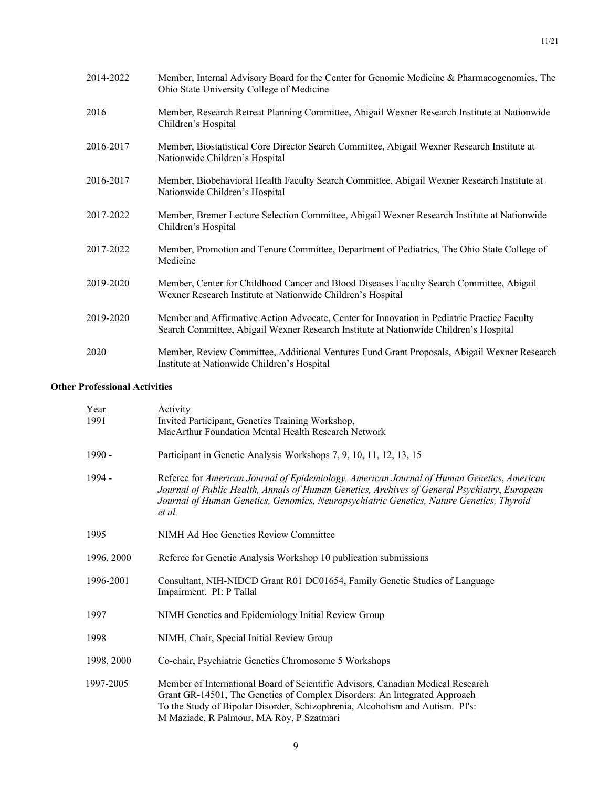| 2014-2022 | Member, Internal Advisory Board for the Center for Genomic Medicine & Pharmacogenomics, The<br>Ohio State University College of Medicine                                             |
|-----------|--------------------------------------------------------------------------------------------------------------------------------------------------------------------------------------|
| 2016      | Member, Research Retreat Planning Committee, Abigail Wexner Research Institute at Nationwide<br>Children's Hospital                                                                  |
| 2016-2017 | Member, Biostatistical Core Director Search Committee, Abigail Wexner Research Institute at<br>Nationwide Children's Hospital                                                        |
| 2016-2017 | Member, Biobehavioral Health Faculty Search Committee, Abigail Wexner Research Institute at<br>Nationwide Children's Hospital                                                        |
| 2017-2022 | Member, Bremer Lecture Selection Committee, Abigail Wexner Research Institute at Nationwide<br>Children's Hospital                                                                   |
| 2017-2022 | Member, Promotion and Tenure Committee, Department of Pediatrics, The Ohio State College of<br>Medicine                                                                              |
| 2019-2020 | Member, Center for Childhood Cancer and Blood Diseases Faculty Search Committee, Abigail<br>Wexner Research Institute at Nationwide Children's Hospital                              |
| 2019-2020 | Member and Affirmative Action Advocate, Center for Innovation in Pediatric Practice Faculty<br>Search Committee, Abigail Wexner Research Institute at Nationwide Children's Hospital |
| 2020      | Member, Review Committee, Additional Ventures Fund Grant Proposals, Abigail Wexner Research<br>Institute at Nationwide Children's Hospital                                           |

# **Other Professional Activities**

| Year       | Activity                                                                                                                                                                                                                                                                                         |
|------------|--------------------------------------------------------------------------------------------------------------------------------------------------------------------------------------------------------------------------------------------------------------------------------------------------|
| 1991       | Invited Participant, Genetics Training Workshop,                                                                                                                                                                                                                                                 |
|            | MacArthur Foundation Mental Health Research Network                                                                                                                                                                                                                                              |
| $1990 -$   | Participant in Genetic Analysis Workshops 7, 9, 10, 11, 12, 13, 15                                                                                                                                                                                                                               |
| 1994 -     | Referee for American Journal of Epidemiology, American Journal of Human Genetics, American<br>Journal of Public Health, Annals of Human Genetics, Archives of General Psychiatry, European<br>Journal of Human Genetics, Genomics, Neuropsychiatric Genetics, Nature Genetics, Thyroid<br>et al. |
| 1995       | NIMH Ad Hoc Genetics Review Committee                                                                                                                                                                                                                                                            |
| 1996, 2000 | Referee for Genetic Analysis Workshop 10 publication submissions                                                                                                                                                                                                                                 |
| 1996-2001  | Consultant, NIH-NIDCD Grant R01 DC01654, Family Genetic Studies of Language<br>Impairment. PI: P Tallal                                                                                                                                                                                          |
| 1997       | NIMH Genetics and Epidemiology Initial Review Group                                                                                                                                                                                                                                              |
| 1998       | NIMH, Chair, Special Initial Review Group                                                                                                                                                                                                                                                        |
| 1998, 2000 | Co-chair, Psychiatric Genetics Chromosome 5 Workshops                                                                                                                                                                                                                                            |
| 1997-2005  | Member of International Board of Scientific Advisors, Canadian Medical Research<br>Grant GR-14501, The Genetics of Complex Disorders: An Integrated Approach<br>To the Study of Bipolar Disorder, Schizophrenia, Alcoholism and Autism. PI's:<br>M Maziade, R Palmour, MA Roy, P Szatmari        |
|            |                                                                                                                                                                                                                                                                                                  |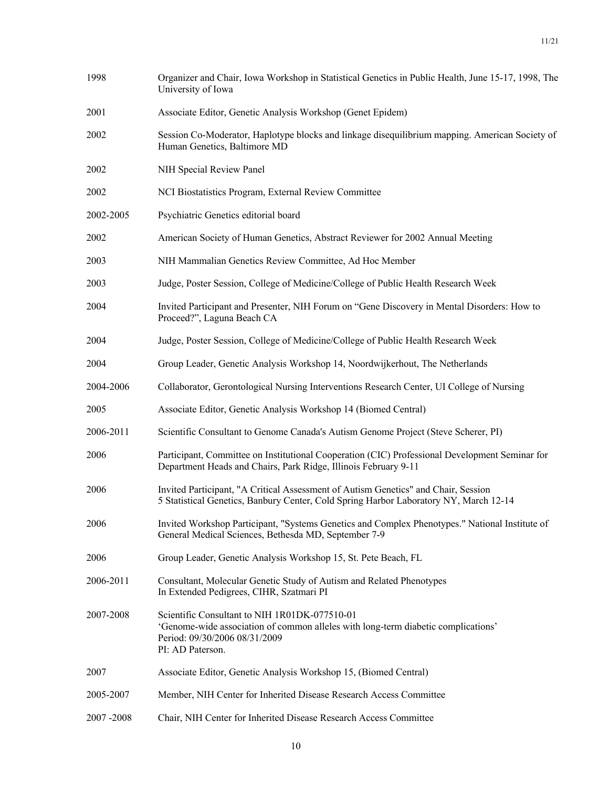| 1998      | Organizer and Chair, Iowa Workshop in Statistical Genetics in Public Health, June 15-17, 1998, The<br>University of Iowa                                                                |
|-----------|-----------------------------------------------------------------------------------------------------------------------------------------------------------------------------------------|
| 2001      | Associate Editor, Genetic Analysis Workshop (Genet Epidem)                                                                                                                              |
| 2002      | Session Co-Moderator, Haplotype blocks and linkage disequilibrium mapping. American Society of<br>Human Genetics, Baltimore MD                                                          |
| 2002      | NIH Special Review Panel                                                                                                                                                                |
| 2002      | NCI Biostatistics Program, External Review Committee                                                                                                                                    |
| 2002-2005 | Psychiatric Genetics editorial board                                                                                                                                                    |
| 2002      | American Society of Human Genetics, Abstract Reviewer for 2002 Annual Meeting                                                                                                           |
| 2003      | NIH Mammalian Genetics Review Committee, Ad Hoc Member                                                                                                                                  |
| 2003      | Judge, Poster Session, College of Medicine/College of Public Health Research Week                                                                                                       |
| 2004      | Invited Participant and Presenter, NIH Forum on "Gene Discovery in Mental Disorders: How to<br>Proceed?", Laguna Beach CA                                                               |
| 2004      | Judge, Poster Session, College of Medicine/College of Public Health Research Week                                                                                                       |
| 2004      | Group Leader, Genetic Analysis Workshop 14, Noordwijkerhout, The Netherlands                                                                                                            |
| 2004-2006 | Collaborator, Gerontological Nursing Interventions Research Center, UI College of Nursing                                                                                               |
| 2005      | Associate Editor, Genetic Analysis Workshop 14 (Biomed Central)                                                                                                                         |
| 2006-2011 | Scientific Consultant to Genome Canada's Autism Genome Project (Steve Scherer, PI)                                                                                                      |
| 2006      | Participant, Committee on Institutional Cooperation (CIC) Professional Development Seminar for<br>Department Heads and Chairs, Park Ridge, Illinois February 9-11                       |
| 2006      | Invited Participant, "A Critical Assessment of Autism Genetics" and Chair, Session<br>5 Statistical Genetics, Banbury Center, Cold Spring Harbor Laboratory NY, March 12-14             |
| 2006      | Invited Workshop Participant, "Systems Genetics and Complex Phenotypes." National Institute of<br>General Medical Sciences, Bethesda MD, September 7-9                                  |
| 2006      | Group Leader, Genetic Analysis Workshop 15, St. Pete Beach, FL                                                                                                                          |
| 2006-2011 | Consultant, Molecular Genetic Study of Autism and Related Phenotypes<br>In Extended Pedigrees, CIHR, Szatmari PI                                                                        |
| 2007-2008 | Scientific Consultant to NIH 1R01DK-077510-01<br>'Genome-wide association of common alleles with long-term diabetic complications'<br>Period: 09/30/2006 08/31/2009<br>PI: AD Paterson. |
| 2007      | Associate Editor, Genetic Analysis Workshop 15, (Biomed Central)                                                                                                                        |
| 2005-2007 | Member, NIH Center for Inherited Disease Research Access Committee                                                                                                                      |
| 2007-2008 | Chair, NIH Center for Inherited Disease Research Access Committee                                                                                                                       |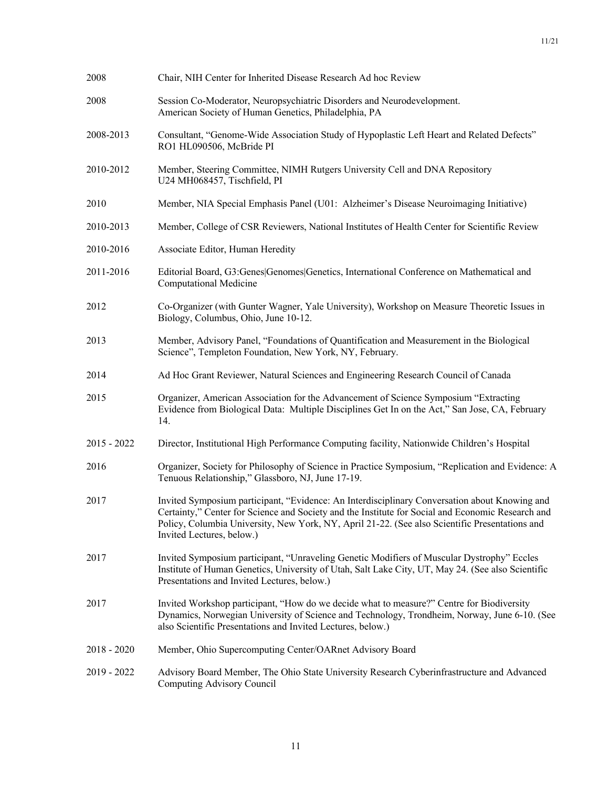| 2008          | Chair, NIH Center for Inherited Disease Research Ad hoc Review                                                                                                                                                                                                                                                                    |
|---------------|-----------------------------------------------------------------------------------------------------------------------------------------------------------------------------------------------------------------------------------------------------------------------------------------------------------------------------------|
| 2008          | Session Co-Moderator, Neuropsychiatric Disorders and Neurodevelopment.<br>American Society of Human Genetics, Philadelphia, PA                                                                                                                                                                                                    |
| 2008-2013     | Consultant, "Genome-Wide Association Study of Hypoplastic Left Heart and Related Defects"<br>RO1 HL090506, McBride PI                                                                                                                                                                                                             |
| 2010-2012     | Member, Steering Committee, NIMH Rutgers University Cell and DNA Repository<br>U24 MH068457, Tischfield, PI                                                                                                                                                                                                                       |
| 2010          | Member, NIA Special Emphasis Panel (U01: Alzheimer's Disease Neuroimaging Initiative)                                                                                                                                                                                                                                             |
| 2010-2013     | Member, College of CSR Reviewers, National Institutes of Health Center for Scientific Review                                                                                                                                                                                                                                      |
| 2010-2016     | Associate Editor, Human Heredity                                                                                                                                                                                                                                                                                                  |
| 2011-2016     | Editorial Board, G3:Genes Genomes Genetics, International Conference on Mathematical and<br><b>Computational Medicine</b>                                                                                                                                                                                                         |
| 2012          | Co-Organizer (with Gunter Wagner, Yale University), Workshop on Measure Theoretic Issues in<br>Biology, Columbus, Ohio, June 10-12.                                                                                                                                                                                               |
| 2013          | Member, Advisory Panel, "Foundations of Quantification and Measurement in the Biological<br>Science", Templeton Foundation, New York, NY, February.                                                                                                                                                                               |
| 2014          | Ad Hoc Grant Reviewer, Natural Sciences and Engineering Research Council of Canada                                                                                                                                                                                                                                                |
| 2015          | Organizer, American Association for the Advancement of Science Symposium "Extracting<br>Evidence from Biological Data: Multiple Disciplines Get In on the Act," San Jose, CA, February<br>14.                                                                                                                                     |
| $2015 - 2022$ | Director, Institutional High Performance Computing facility, Nationwide Children's Hospital                                                                                                                                                                                                                                       |
| 2016          | Organizer, Society for Philosophy of Science in Practice Symposium, "Replication and Evidence: A<br>Tenuous Relationship," Glassboro, NJ, June 17-19.                                                                                                                                                                             |
| 2017          | Invited Symposium participant, "Evidence: An Interdisciplinary Conversation about Knowing and<br>Certainty," Center for Science and Society and the Institute for Social and Economic Research and<br>Policy, Columbia University, New York, NY, April 21-22. (See also Scientific Presentations and<br>Invited Lectures, below.) |
| 2017          | Invited Symposium participant, "Unraveling Genetic Modifiers of Muscular Dystrophy" Eccles<br>Institute of Human Genetics, University of Utah, Salt Lake City, UT, May 24. (See also Scientific<br>Presentations and Invited Lectures, below.)                                                                                    |
| 2017          | Invited Workshop participant, "How do we decide what to measure?" Centre for Biodiversity<br>Dynamics, Norwegian University of Science and Technology, Trondheim, Norway, June 6-10. (See<br>also Scientific Presentations and Invited Lectures, below.)                                                                          |
| $2018 - 2020$ | Member, Ohio Supercomputing Center/OARnet Advisory Board                                                                                                                                                                                                                                                                          |
| 2019 - 2022   | Advisory Board Member, The Ohio State University Research Cyberinfrastructure and Advanced<br>Computing Advisory Council                                                                                                                                                                                                          |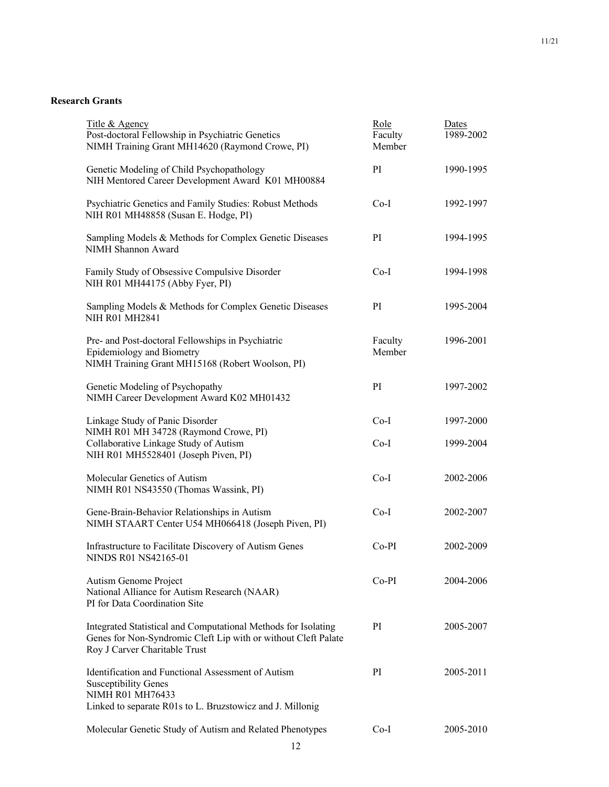# **Research Grants**

| Title & Agency<br>Post-doctoral Fellowship in Psychiatric Genetics<br>NIMH Training Grant MH14620 (Raymond Crowe, PI)                                              | Role<br>Faculty<br>Member | Dates<br>1989-2002 |
|--------------------------------------------------------------------------------------------------------------------------------------------------------------------|---------------------------|--------------------|
| Genetic Modeling of Child Psychopathology<br>NIH Mentored Career Development Award K01 MH00884                                                                     | PI                        | 1990-1995          |
| Psychiatric Genetics and Family Studies: Robust Methods<br>NIH R01 MH48858 (Susan E. Hodge, PI)                                                                    | $Co-I$                    | 1992-1997          |
| Sampling Models & Methods for Complex Genetic Diseases<br>NIMH Shannon Award                                                                                       | PI                        | 1994-1995          |
| Family Study of Obsessive Compulsive Disorder<br>NIH R01 MH44175 (Abby Fyer, PI)                                                                                   | $Co-I$                    | 1994-1998          |
| Sampling Models & Methods for Complex Genetic Diseases<br><b>NIH R01 MH2841</b>                                                                                    | PI                        | 1995-2004          |
| Pre- and Post-doctoral Fellowships in Psychiatric<br>Epidemiology and Biometry<br>NIMH Training Grant MH15168 (Robert Woolson, PI)                                 | Faculty<br>Member         | 1996-2001          |
| Genetic Modeling of Psychopathy<br>NIMH Career Development Award K02 MH01432                                                                                       | PI                        | 1997-2002          |
| Linkage Study of Panic Disorder<br>NIMH R01 MH 34728 (Raymond Crowe, PI)                                                                                           | $Co-I$                    | 1997-2000          |
| Collaborative Linkage Study of Autism<br>NIH R01 MH5528401 (Joseph Piven, PI)                                                                                      | $Co-I$                    | 1999-2004          |
| Molecular Genetics of Autism<br>NIMH R01 NS43550 (Thomas Wassink, PI)                                                                                              | $Co-I$                    | 2002-2006          |
| Gene-Brain-Behavior Relationships in Autism<br>NIMH STAART Center U54 MH066418 (Joseph Piven, PI)                                                                  | $Co-I$                    | 2002-2007          |
| Infrastructure to Facilitate Discovery of Autism Genes<br>NINDS R01 NS42165-01                                                                                     | $Co-PI$                   | 2002-2009          |
| Autism Genome Project<br>National Alliance for Autism Research (NAAR)<br>PI for Data Coordination Site                                                             | $Co-PI$                   | 2004-2006          |
| Integrated Statistical and Computational Methods for Isolating<br>Genes for Non-Syndromic Cleft Lip with or without Cleft Palate<br>Roy J Carver Charitable Trust  | PI                        | 2005-2007          |
| Identification and Functional Assessment of Autism<br><b>Susceptibility Genes</b><br>NIMH R01 MH76433<br>Linked to separate R01s to L. Bruzstowicz and J. Millonig | PI                        | 2005-2011          |
| Molecular Genetic Study of Autism and Related Phenotypes                                                                                                           | Co-I                      | 2005-2010          |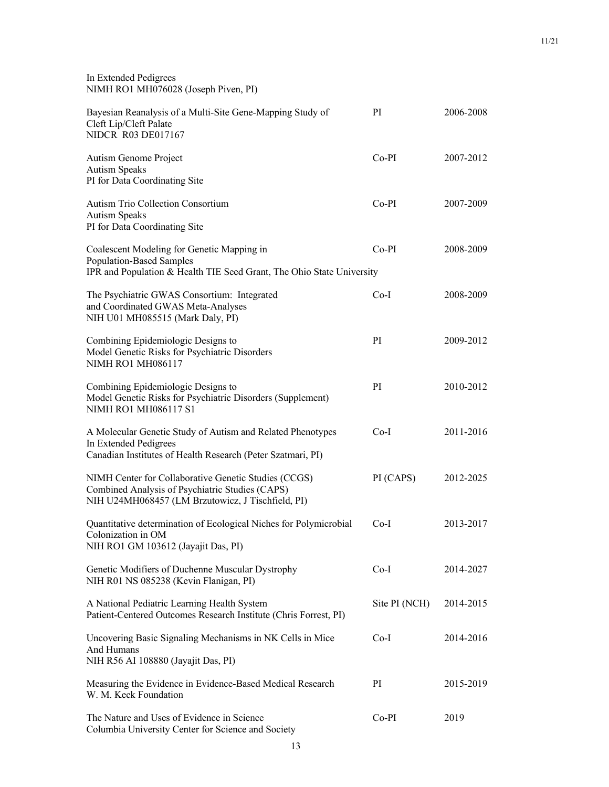| In Extended Pedigrees                |
|--------------------------------------|
| NIMH RO1 MH076028 (Joseph Piven, PI) |

| Bayesian Reanalysis of a Multi-Site Gene-Mapping Study of<br>Cleft Lip/Cleft Palate<br><b>NIDCR R03 DE017167</b>                                             | PI            | 2006-2008 |
|--------------------------------------------------------------------------------------------------------------------------------------------------------------|---------------|-----------|
| Autism Genome Project<br><b>Autism Speaks</b><br>PI for Data Coordinating Site                                                                               | $Co-PI$       | 2007-2012 |
| <b>Autism Trio Collection Consortium</b><br><b>Autism Speaks</b><br>PI for Data Coordinating Site                                                            | $Co-PI$       | 2007-2009 |
| Coalescent Modeling for Genetic Mapping in<br><b>Population-Based Samples</b><br>IPR and Population & Health TIE Seed Grant, The Ohio State University       | $Co-PI$       | 2008-2009 |
| The Psychiatric GWAS Consortium: Integrated<br>and Coordinated GWAS Meta-Analyses<br>NIH U01 MH085515 (Mark Daly, PI)                                        | $Co-I$        | 2008-2009 |
| Combining Epidemiologic Designs to<br>Model Genetic Risks for Psychiatric Disorders<br><b>NIMH RO1 MH086117</b>                                              | PI            | 2009-2012 |
| Combining Epidemiologic Designs to<br>Model Genetic Risks for Psychiatric Disorders (Supplement)<br>NIMH RO1 MH086117 S1                                     | PI            | 2010-2012 |
| A Molecular Genetic Study of Autism and Related Phenotypes<br>In Extended Pedigrees<br>Canadian Institutes of Health Research (Peter Szatmari, PI)           | $Co-I$        | 2011-2016 |
| NIMH Center for Collaborative Genetic Studies (CCGS)<br>Combined Analysis of Psychiatric Studies (CAPS)<br>NIH U24MH068457 (LM Brzutowicz, J Tischfield, PI) | PI (CAPS)     | 2012-2025 |
| Quantitative determination of Ecological Niches for Polymicrobial<br>Colonization in OM<br>NIH RO1 GM 103612 (Jayajit Das, PI)                               | $Co-I$        | 2013-2017 |
| Genetic Modifiers of Duchenne Muscular Dystrophy<br>NIH R01 NS 085238 (Kevin Flanigan, PI)                                                                   | $Co-I$        | 2014-2027 |
| A National Pediatric Learning Health System<br>Patient-Centered Outcomes Research Institute (Chris Forrest, PI)                                              | Site PI (NCH) | 2014-2015 |
| Uncovering Basic Signaling Mechanisms in NK Cells in Mice<br>And Humans<br>NIH R56 AI 108880 (Jayajit Das, PI)                                               | $Co-I$        | 2014-2016 |
| Measuring the Evidence in Evidence-Based Medical Research<br>W. M. Keck Foundation                                                                           | PI            | 2015-2019 |
| The Nature and Uses of Evidence in Science<br>Columbia University Center for Science and Society                                                             | $Co-PI$       | 2019      |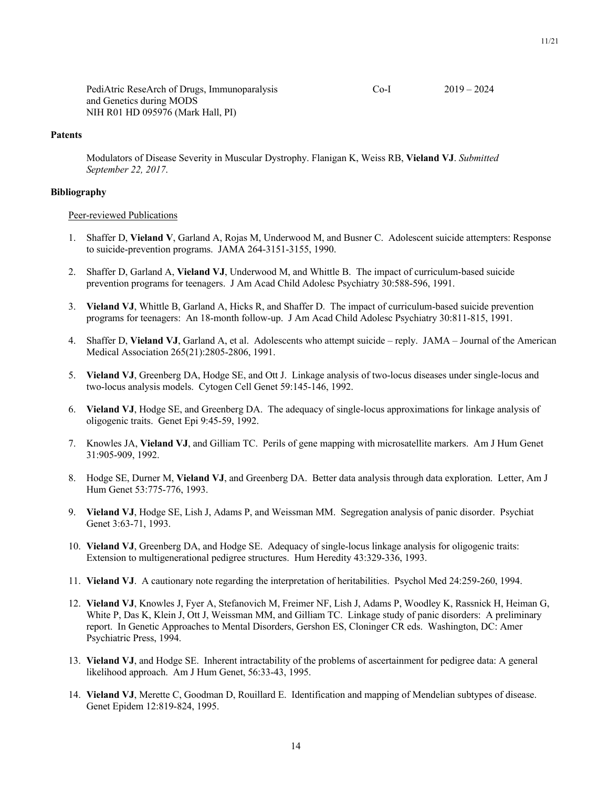PediAtric ReseArch of Drugs, Immunoparalysis Co-I 2019 – 2024 and Genetics during MODS NIH R01 HD 095976 (Mark Hall, PI)

## **Patents**

Modulators of Disease Severity in Muscular Dystrophy. Flanigan K, Weiss RB, **Vieland VJ**. *Submitted September 22, 2017*.

### **Bibliography**

#### Peer-reviewed Publications

- 1. Shaffer D, **Vieland V**, Garland A, Rojas M, Underwood M, and Busner C. Adolescent suicide attempters: Response to suicide-prevention programs. JAMA 264-3151-3155, 1990.
- 2. Shaffer D, Garland A, **Vieland VJ**, Underwood M, and Whittle B. The impact of curriculum-based suicide prevention programs for teenagers. J Am Acad Child Adolesc Psychiatry 30:588-596, 1991.
- 3. **Vieland VJ**, Whittle B, Garland A, Hicks R, and Shaffer D. The impact of curriculum-based suicide prevention programs for teenagers: An 18-month follow-up. J Am Acad Child Adolesc Psychiatry 30:811-815, 1991.
- 4. Shaffer D, **Vieland VJ**, Garland A, et al. Adolescents who attempt suicide reply. JAMA Journal of the American Medical Association 265(21):2805-2806, 1991.
- 5. **Vieland VJ**, Greenberg DA, Hodge SE, and Ott J. Linkage analysis of two-locus diseases under single-locus and two-locus analysis models. Cytogen Cell Genet 59:145-146, 1992.
- 6. **Vieland VJ**, Hodge SE, and Greenberg DA. The adequacy of single-locus approximations for linkage analysis of oligogenic traits. Genet Epi 9:45-59, 1992.
- 7. Knowles JA, **Vieland VJ**, and Gilliam TC. Perils of gene mapping with microsatellite markers. Am J Hum Genet 31:905-909, 1992.
- 8. Hodge SE, Durner M, **Vieland VJ**, and Greenberg DA. Better data analysis through data exploration. Letter, Am J Hum Genet 53:775-776, 1993.
- 9. **Vieland VJ**, Hodge SE, Lish J, Adams P, and Weissman MM. Segregation analysis of panic disorder. Psychiat Genet 3:63-71, 1993.
- 10. **Vieland VJ**, Greenberg DA, and Hodge SE. Adequacy of single-locus linkage analysis for oligogenic traits: Extension to multigenerational pedigree structures. Hum Heredity 43:329-336, 1993.
- 11. **Vieland VJ**. A cautionary note regarding the interpretation of heritabilities. Psychol Med 24:259-260, 1994.
- 12. **Vieland VJ**, Knowles J, Fyer A, Stefanovich M, Freimer NF, Lish J, Adams P, Woodley K, Rassnick H, Heiman G, White P, Das K, Klein J, Ott J, Weissman MM, and Gilliam TC. Linkage study of panic disorders: A preliminary report. In Genetic Approaches to Mental Disorders, Gershon ES, Cloninger CR eds. Washington, DC: Amer Psychiatric Press, 1994.
- 13. **Vieland VJ**, and Hodge SE. Inherent intractability of the problems of ascertainment for pedigree data: A general likelihood approach. Am J Hum Genet, 56:33-43, 1995.
- 14. **Vieland VJ**, Merette C, Goodman D, Rouillard E. Identification and mapping of Mendelian subtypes of disease. Genet Epidem 12:819-824, 1995.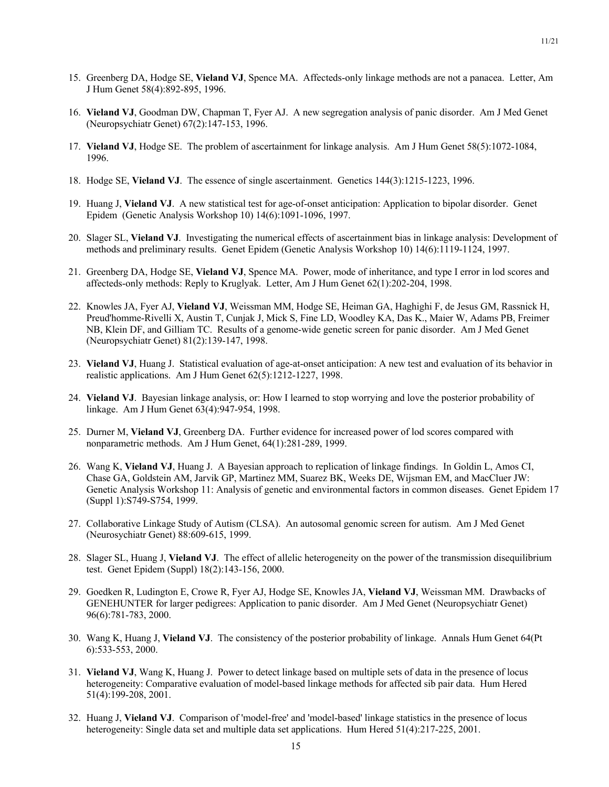- 15. Greenberg DA, Hodge SE, **Vieland VJ**, Spence MA. Affecteds-only linkage methods are not a panacea. Letter, Am J Hum Genet 58(4):892-895, 1996.
- 16. **Vieland VJ**, Goodman DW, Chapman T, Fyer AJ. A new segregation analysis of panic disorder. Am J Med Genet (Neuropsychiatr Genet) 67(2):147-153, 1996.
- 17. **Vieland VJ**, Hodge SE. The problem of ascertainment for linkage analysis. Am J Hum Genet 58(5):1072-1084, 1996.
- 18. Hodge SE, **Vieland VJ**. The essence of single ascertainment. Genetics 144(3):1215-1223, 1996.
- 19. Huang J, **Vieland VJ**. A new statistical test for age-of-onset anticipation: Application to bipolar disorder. Genet Epidem (Genetic Analysis Workshop 10) 14(6):1091-1096, 1997.
- 20. Slager SL, **Vieland VJ**. Investigating the numerical effects of ascertainment bias in linkage analysis: Development of methods and preliminary results. Genet Epidem (Genetic Analysis Workshop 10) 14(6):1119-1124, 1997.
- 21. Greenberg DA, Hodge SE, **Vieland VJ**, Spence MA. Power, mode of inheritance, and type I error in lod scores and affecteds-only methods: Reply to Kruglyak. Letter, Am J Hum Genet 62(1):202-204, 1998.
- 22. Knowles JA, Fyer AJ, **Vieland VJ**, Weissman MM, Hodge SE, Heiman GA, Haghighi F, de Jesus GM, Rassnick H, Preud'homme-Rivelli X, Austin T, Cunjak J, Mick S, Fine LD, Woodley KA, Das K., Maier W, Adams PB, Freimer NB, Klein DF, and Gilliam TC. Results of a genome-wide genetic screen for panic disorder. Am J Med Genet (Neuropsychiatr Genet) 81(2):139-147, 1998.
- 23. **Vieland VJ**, Huang J. Statistical evaluation of age-at-onset anticipation: A new test and evaluation of its behavior in realistic applications. Am J Hum Genet 62(5):1212-1227, 1998.
- 24. **Vieland VJ**. Bayesian linkage analysis, or: How I learned to stop worrying and love the posterior probability of linkage. Am J Hum Genet 63(4):947-954, 1998.
- 25. Durner M, **Vieland VJ**, Greenberg DA. Further evidence for increased power of lod scores compared with nonparametric methods. Am J Hum Genet, 64(1):281-289, 1999.
- 26. Wang K, **Vieland VJ**, Huang J. A Bayesian approach to replication of linkage findings. In Goldin L, Amos CI, Chase GA, Goldstein AM, Jarvik GP, Martinez MM, Suarez BK, Weeks DE, Wijsman EM, and MacCluer JW: Genetic Analysis Workshop 11: Analysis of genetic and environmental factors in common diseases. Genet Epidem 17 (Suppl 1):S749-S754, 1999.
- 27. Collaborative Linkage Study of Autism (CLSA). An autosomal genomic screen for autism. Am J Med Genet (Neurosychiatr Genet) 88:609-615, 1999.
- 28. Slager SL, Huang J, **Vieland VJ**. The effect of allelic heterogeneity on the power of the transmission disequilibrium test. Genet Epidem (Suppl) 18(2):143-156, 2000.
- 29. Goedken R, Ludington E, Crowe R, Fyer AJ, Hodge SE, Knowles JA, **Vieland VJ**, Weissman MM. Drawbacks of GENEHUNTER for larger pedigrees: Application to panic disorder. Am J Med Genet (Neuropsychiatr Genet) 96(6):781-783, 2000.
- 30. Wang K, Huang J, **Vieland VJ**. The consistency of the posterior probability of linkage. Annals Hum Genet 64(Pt 6):533-553, 2000.
- 31. **Vieland VJ**, Wang K, Huang J. Power to detect linkage based on multiple sets of data in the presence of locus heterogeneity: Comparative evaluation of model-based linkage methods for affected sib pair data. Hum Hered 51(4):199-208, 2001.
- 32. Huang J, **Vieland VJ**. Comparison of 'model-free' and 'model-based' linkage statistics in the presence of locus heterogeneity: Single data set and multiple data set applications. Hum Hered 51(4):217-225, 2001.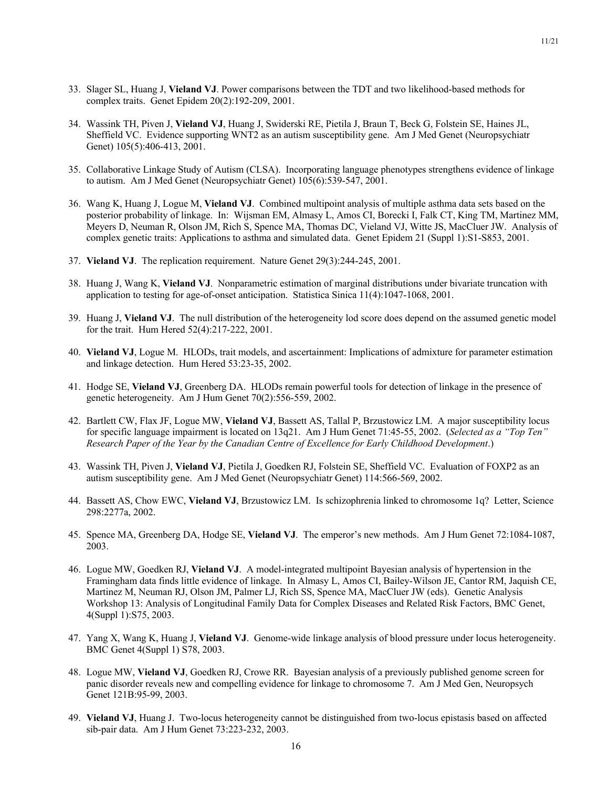- 33. Slager SL, Huang J, **Vieland VJ**. Power comparisons between the TDT and two likelihood-based methods for complex traits. Genet Epidem 20(2):192-209, 2001.
- 34. Wassink TH, Piven J, **Vieland VJ**, Huang J, Swiderski RE, Pietila J, Braun T, Beck G, Folstein SE, Haines JL, Sheffield VC. Evidence supporting WNT2 as an autism susceptibility gene. Am J Med Genet (Neuropsychiatr Genet) 105(5):406-413, 2001.
- 35. Collaborative Linkage Study of Autism (CLSA). Incorporating language phenotypes strengthens evidence of linkage to autism. Am J Med Genet (Neuropsychiatr Genet) 105(6):539-547, 2001.
- 36. Wang K, Huang J, Logue M, **Vieland VJ**. Combined multipoint analysis of multiple asthma data sets based on the posterior probability of linkage. In: Wijsman EM, Almasy L, Amos CI, Borecki I, Falk CT, King TM, Martinez MM, Meyers D, Neuman R, Olson JM, Rich S, Spence MA, Thomas DC, Vieland VJ, Witte JS, MacCluer JW. Analysis of complex genetic traits: Applications to asthma and simulated data. Genet Epidem 21 (Suppl 1):S1-S853, 2001.
- 37. **Vieland VJ**. The replication requirement. Nature Genet 29(3):244-245, 2001.
- 38. Huang J, Wang K, **Vieland VJ**. Nonparametric estimation of marginal distributions under bivariate truncation with application to testing for age-of-onset anticipation. Statistica Sinica 11(4):1047-1068, 2001.
- 39. Huang J, **Vieland VJ**. The null distribution of the heterogeneity lod score does depend on the assumed genetic model for the trait. Hum Hered 52(4):217-222, 2001.
- 40. **Vieland VJ**, Logue M. HLODs, trait models, and ascertainment: Implications of admixture for parameter estimation and linkage detection. Hum Hered 53:23-35, 2002.
- 41. Hodge SE, **Vieland VJ**, Greenberg DA. HLODs remain powerful tools for detection of linkage in the presence of genetic heterogeneity. Am J Hum Genet 70(2):556-559, 2002.
- 42. Bartlett CW, Flax JF, Logue MW, **Vieland VJ**, Bassett AS, Tallal P, Brzustowicz LM. A major susceptibility locus for specific language impairment is located on 13q21. Am J Hum Genet 71:45-55, 2002. (*Selected as a "Top Ten" Research Paper of the Year by the Canadian Centre of Excellence for Early Childhood Development*.)
- 43. Wassink TH, Piven J, **Vieland VJ**, Pietila J, Goedken RJ, Folstein SE, Sheffield VC. Evaluation of FOXP2 as an autism susceptibility gene. Am J Med Genet (Neuropsychiatr Genet) 114:566-569, 2002.
- 44. Bassett AS, Chow EWC, **Vieland VJ**, Brzustowicz LM. Is schizophrenia linked to chromosome 1q? Letter, Science 298:2277a, 2002.
- 45. Spence MA, Greenberg DA, Hodge SE, **Vieland VJ**. The emperor's new methods. Am J Hum Genet 72:1084-1087, 2003.
- 46. Logue MW, Goedken RJ, **Vieland VJ**. A model-integrated multipoint Bayesian analysis of hypertension in the Framingham data finds little evidence of linkage. In Almasy L, Amos CI, Bailey-Wilson JE, Cantor RM, Jaquish CE, Martinez M, Neuman RJ, Olson JM, Palmer LJ, Rich SS, Spence MA, MacCluer JW (eds). Genetic Analysis Workshop 13: Analysis of Longitudinal Family Data for Complex Diseases and Related Risk Factors, BMC Genet, 4(Suppl 1):S75, 2003.
- 47. Yang X, Wang K, Huang J, **Vieland VJ**. Genome-wide linkage analysis of blood pressure under locus heterogeneity. BMC Genet 4(Suppl 1) S78, 2003.
- 48. Logue MW, **Vieland VJ**, Goedken RJ, Crowe RR. Bayesian analysis of a previously published genome screen for panic disorder reveals new and compelling evidence for linkage to chromosome 7. Am J Med Gen, Neuropsych Genet 121B:95-99, 2003.
- 49. **Vieland VJ**, Huang J. Two-locus heterogeneity cannot be distinguished from two-locus epistasis based on affected sib-pair data. Am J Hum Genet 73:223-232, 2003.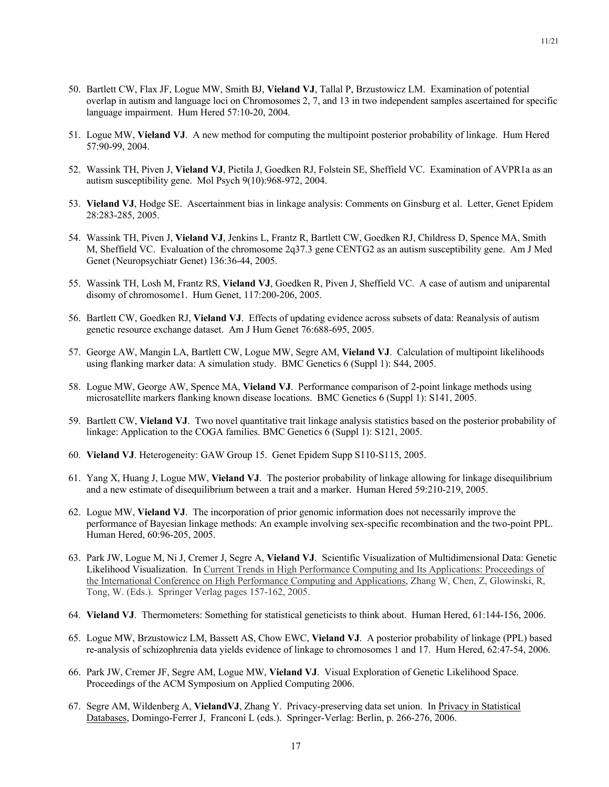- 50. Bartlett CW, Flax JF, Logue MW, Smith BJ, **Vieland VJ**, Tallal P, Brzustowicz LM. Examination of potential overlap in autism and language loci on Chromosomes 2, 7, and 13 in two independent samples ascertained for specific language impairment. Hum Hered 57:10-20, 2004.
- 51. Logue MW, **Vieland VJ**. A new method for computing the multipoint posterior probability of linkage. Hum Hered 57:90-99, 2004.
- 52. Wassink TH, Piven J, **Vieland VJ**, Pietila J, Goedken RJ, Folstein SE, Sheffield VC. Examination of AVPR1a as an autism susceptibility gene. Mol Psych 9(10):968-972, 2004.
- 53. **Vieland VJ**, Hodge SE. Ascertainment bias in linkage analysis: Comments on Ginsburg et al. Letter, Genet Epidem 28:283-285, 2005.
- 54. Wassink TH, Piven J, **Vieland VJ**, Jenkins L, Frantz R, Bartlett CW, Goedken RJ, Childress D, Spence MA, Smith M, Sheffield VC. Evaluation of the chromosome 2q37.3 gene CENTG2 as an autism susceptibility gene. Am J Med Genet (Neuropsychiatr Genet) 136:36-44, 2005.
- 55. Wassink TH, Losh M, Frantz RS, **Vieland VJ**, Goedken R, Piven J, Sheffield VC. A case of autism and uniparental disomy of chromosome1. Hum Genet, 117:200-206, 2005.
- 56. Bartlett CW, Goedken RJ, **Vieland VJ**. Effects of updating evidence across subsets of data: Reanalysis of autism genetic resource exchange dataset. Am J Hum Genet 76:688-695, 2005.
- 57. George AW, Mangin LA, Bartlett CW, Logue MW, Segre AM, **Vieland VJ**. Calculation of multipoint likelihoods using flanking marker data: A simulation study. BMC Genetics 6 (Suppl 1): S44, 2005.
- 58. Logue MW, George AW, Spence MA, **Vieland VJ**. Performance comparison of 2-point linkage methods using microsatellite markers flanking known disease locations. BMC Genetics 6 (Suppl 1): S141, 2005.
- 59. Bartlett CW, **Vieland VJ**. Two novel quantitative trait linkage analysis statistics based on the posterior probability of linkage: Application to the COGA families. BMC Genetics 6 (Suppl 1): S121, 2005.
- 60. **Vieland VJ**. Heterogeneity: GAW Group 15. Genet Epidem Supp S110-S115, 2005.
- 61. Yang X, Huang J, Logue MW, **Vieland VJ**. The posterior probability of linkage allowing for linkage disequilibrium and a new estimate of disequilibrium between a trait and a marker. Human Hered 59:210-219, 2005.
- 62. Logue MW, **Vieland VJ**. The incorporation of prior genomic information does not necessarily improve the performance of Bayesian linkage methods: An example involving sex-specific recombination and the two-point PPL. Human Hered, 60:96-205, 2005.
- 63. Park JW, Logue M, Ni J, Cremer J, Segre A, **Vieland VJ**. Scientific Visualization of Multidimensional Data: Genetic Likelihood Visualization. In Current Trends in High Performance Computing and Its Applications: Proceedings of the International Conference on High Performance Computing and Applications, Zhang W, Chen, Z, Glowinski, R, Tong, W. (Eds.). Springer Verlag pages 157-162, 2005.
- 64. **Vieland VJ**. Thermometers: Something for statistical geneticists to think about. Human Hered, 61:144-156, 2006.
- 65. Logue MW, Brzustowicz LM, Bassett AS, Chow EWC, **Vieland VJ**. A posterior probability of linkage (PPL) based re-analysis of schizophrenia data yields evidence of linkage to chromosomes 1 and 17. Hum Hered, 62:47-54, 2006.
- 66. Park JW, Cremer JF, Segre AM, Logue MW, **Vieland VJ**. Visual Exploration of Genetic Likelihood Space. Proceedings of the ACM Symposium on Applied Computing 2006.
- 67. Segre AM, Wildenberg A, **VielandVJ**, Zhang Y. Privacy-preserving data set union. In Privacy in Statistical Databases, Domingo-Ferrer J, Franconi L (eds.). Springer-Verlag: Berlin, p. 266-276, 2006.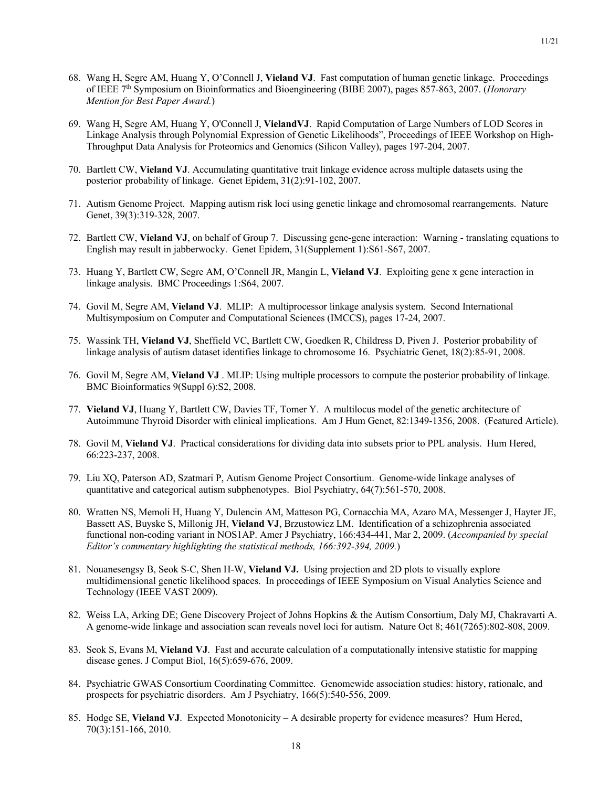- 68. Wang H, Segre AM, Huang Y, O'Connell J, **Vieland VJ**. Fast computation of human genetic linkage. Proceedings of IEEE 7th Symposium on Bioinformatics and Bioengineering (BIBE 2007), pages 857-863, 2007. (*Honorary Mention for Best Paper Award.*)
- 69. Wang H, Segre AM, Huang Y, O'Connell J, **VielandVJ**. Rapid Computation of Large Numbers of LOD Scores in Linkage Analysis through Polynomial Expression of Genetic Likelihoods", Proceedings of IEEE Workshop on High-Throughput Data Analysis for Proteomics and Genomics (Silicon Valley), pages 197-204, 2007.
- 70. Bartlett CW, **Vieland VJ**. Accumulating quantitative trait linkage evidence across multiple datasets using the posterior probability of linkage. Genet Epidem, 31(2):91-102, 2007.
- 71. Autism Genome Project. Mapping autism risk loci using genetic linkage and chromosomal rearrangements. Nature Genet, 39(3):319-328, 2007.
- 72. Bartlett CW, **Vieland VJ**, on behalf of Group 7. Discussing gene-gene interaction: Warning translating equations to English may result in jabberwocky. Genet Epidem, 31(Supplement 1):S61-S67, 2007.
- 73. Huang Y, Bartlett CW, Segre AM, O'Connell JR, Mangin L, **Vieland VJ**. Exploiting gene x gene interaction in linkage analysis. BMC Proceedings 1:S64, 2007.
- 74. Govil M, Segre AM, **Vieland VJ**. MLIP: A multiprocessor linkage analysis system. Second International Multisymposium on Computer and Computational Sciences (IMCCS), pages 17-24, 2007.
- 75. Wassink TH, **Vieland VJ**, Sheffield VC, Bartlett CW, Goedken R, Childress D, Piven J. Posterior probability of linkage analysis of autism dataset identifies linkage to chromosome 16. Psychiatric Genet, 18(2):85-91, 2008.
- 76. Govil M, Segre AM, **Vieland VJ** . MLIP: Using multiple processors to compute the posterior probability of linkage. BMC Bioinformatics 9(Suppl 6):S2, 2008.
- 77. **Vieland VJ**, Huang Y, Bartlett CW, Davies TF, Tomer Y. A multilocus model of the genetic architecture of Autoimmune Thyroid Disorder with clinical implications. Am J Hum Genet, 82:1349-1356, 2008. (Featured Article).
- 78. Govil M, **Vieland VJ**. Practical considerations for dividing data into subsets prior to PPL analysis. Hum Hered, 66:223-237, 2008.
- 79. Liu XQ, Paterson AD, Szatmari P, Autism Genome Project Consortium. Genome-wide linkage analyses of quantitative and categorical autism subphenotypes. Biol Psychiatry, 64(7):561-570, 2008.
- 80. Wratten NS, Memoli H, Huang Y, Dulencin AM, Matteson PG, Cornacchia MA, Azaro MA, Messenger J, Hayter JE, Bassett AS, Buyske S, Millonig JH, **Vieland VJ**, Brzustowicz LM. Identification of a schizophrenia associated functional non-coding variant in NOS1AP. Amer J Psychiatry, 166:434-441, Mar 2, 2009. (*Accompanied by special Editor's commentary highlighting the statistical methods, 166:392-394, 2009.*)
- 81. Nouanesengsy B, Seok S-C, Shen H-W, **Vieland VJ.** Using projection and 2D plots to visually explore multidimensional genetic likelihood spaces. In proceedings of IEEE Symposium on Visual Analytics Science and Technology (IEEE VAST 2009).
- 82. Weiss LA, Arking DE; Gene Discovery Project of Johns Hopkins & the Autism Consortium, Daly MJ, Chakravarti A. A genome-wide linkage and association scan reveals novel loci for autism. Nature Oct 8; 461(7265):802-808, 2009.
- 83. Seok S, Evans M, **Vieland VJ**. Fast and accurate calculation of a computationally intensive statistic for mapping disease genes. J Comput Biol, 16(5):659-676, 2009.
- 84. Psychiatric GWAS Consortium Coordinating Committee. Genomewide association studies: history, rationale, and prospects for psychiatric disorders. Am J Psychiatry, 166(5):540-556, 2009.
- 85. Hodge SE, **Vieland VJ**. Expected Monotonicity A desirable property for evidence measures? Hum Hered, 70(3):151-166, 2010.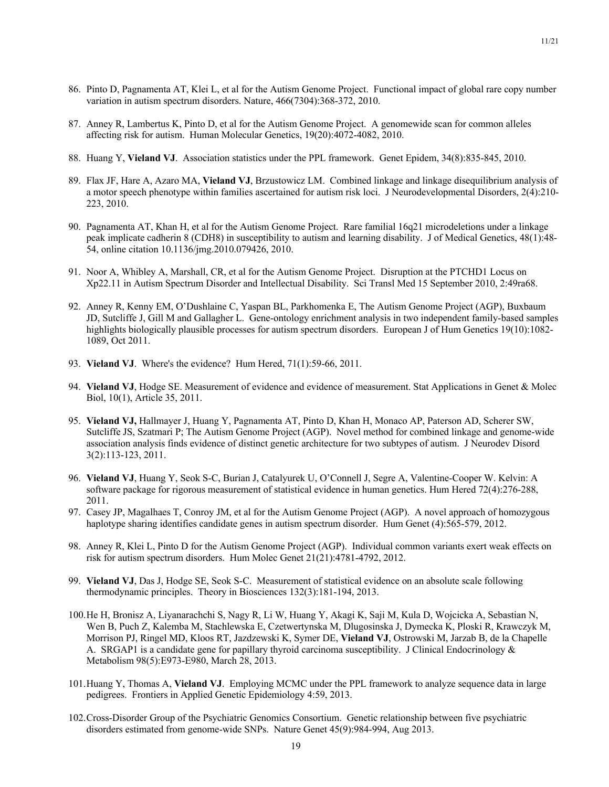- 86. Pinto D, Pagnamenta AT, Klei L, et al for the Autism Genome Project. Functional impact of global rare copy number variation in autism spectrum disorders. Nature, 466(7304):368-372, 2010.
- 87. Anney R, Lambertus K, Pinto D, et al for the Autism Genome Project. A genomewide scan for common alleles affecting risk for autism. Human Molecular Genetics, 19(20):4072-4082, 2010.
- 88. Huang Y, **Vieland VJ**. Association statistics under the PPL framework. Genet Epidem, 34(8):835-845, 2010.
- 89. Flax JF, Hare A, Azaro MA, **Vieland VJ**, Brzustowicz LM. Combined linkage and linkage disequilibrium analysis of a motor speech phenotype within families ascertained for autism risk loci. J Neurodevelopmental Disorders, 2(4):210- 223, 2010.
- 90. Pagnamenta AT, Khan H, et al for the Autism Genome Project. Rare familial 16q21 microdeletions under a linkage peak implicate cadherin 8 (CDH8) in susceptibility to autism and learning disability. J of Medical Genetics, 48(1):48- 54, online citation 10.1136/jmg.2010.079426, 2010.
- 91. Noor A, Whibley A, Marshall, CR, et al for the Autism Genome Project. Disruption at the PTCHD1 Locus on Xp22.11 in Autism Spectrum Disorder and Intellectual Disability. Sci Transl Med 15 September 2010, 2:49ra68.
- 92. Anney R, Kenny EM, O'Dushlaine C, Yaspan BL, Parkhomenka E, The Autism Genome Project (AGP), Buxbaum JD, Sutcliffe J, Gill M and Gallagher L. Gene-ontology enrichment analysis in two independent family-based samples highlights biologically plausible processes for autism spectrum disorders. European J of Hum Genetics 19(10):1082-1089, Oct 2011.
- 93. **Vieland VJ**. Where's the evidence? Hum Hered, 71(1):59-66, 2011.
- 94. **Vieland VJ**, Hodge SE. Measurement of evidence and evidence of measurement. Stat Applications in Genet & Molec Biol, 10(1), Article 35, 2011.
- 95. **Vieland VJ,** Hallmayer J, Huang Y, Pagnamenta AT, Pinto D, Khan H, Monaco AP, Paterson AD, Scherer SW, Sutcliffe JS, Szatmari P; The Autism Genome Project (AGP). Novel method for combined linkage and genome-wide association analysis finds evidence of distinct genetic architecture for two subtypes of autism. J Neurodev Disord 3(2):113-123, 2011.
- 96. **Vieland VJ**, Huang Y, Seok S-C, Burian J, Catalyurek U, O'Connell J, Segre A, Valentine-Cooper W. Kelvin: A software package for rigorous measurement of statistical evidence in human genetics. Hum Hered 72(4):276-288, 2011.
- 97. Casey JP, Magalhaes T, Conroy JM, et al for the Autism Genome Project (AGP). A novel approach of homozygous haplotype sharing identifies candidate genes in autism spectrum disorder. Hum Genet (4):565-579, 2012.
- 98. Anney R, Klei L, Pinto D for the Autism Genome Project (AGP). Individual common variants exert weak effects on risk for autism spectrum disorders. Hum Molec Genet 21(21):4781-4792, 2012.
- 99. **Vieland VJ**, Das J, Hodge SE, Seok S-C. Measurement of statistical evidence on an absolute scale following thermodynamic principles. Theory in Biosciences 132(3):181-194, 2013.
- 100.He H, Bronisz A, Liyanarachchi S, Nagy R, Li W, Huang Y, Akagi K, Saji M, Kula D, Wojcicka A, Sebastian N, Wen B, Puch Z, Kalemba M, Stachlewska E, Czetwertynska M, Dlugosinska J, Dymecka K, Ploski R, Krawczyk M, Morrison PJ, Ringel MD, Kloos RT, Jazdzewski K, Symer DE, **Vieland VJ**, Ostrowski M, Jarzab B, de la Chapelle A. SRGAP1 is a candidate gene for papillary thyroid carcinoma susceptibility. J Clinical Endocrinology & Metabolism 98(5):E973-E980, March 28, 2013.
- 101.Huang Y, Thomas A, **Vieland VJ**. Employing MCMC under the PPL framework to analyze sequence data in large pedigrees. Frontiers in Applied Genetic Epidemiology 4:59, 2013.
- 102.Cross-Disorder Group of the Psychiatric Genomics Consortium. Genetic relationship between five psychiatric disorders estimated from genome-wide SNPs. Nature Genet 45(9):984-994, Aug 2013.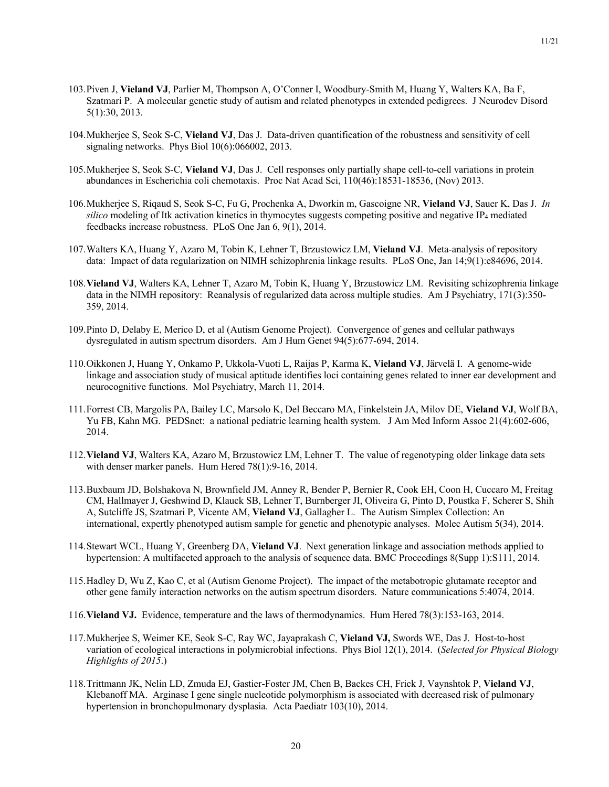- 103.Piven J, **Vieland VJ**, Parlier M, Thompson A, O'Conner I, Woodbury-Smith M, Huang Y, Walters KA, Ba F, Szatmari P. A molecular genetic study of autism and related phenotypes in extended pedigrees. J Neurodev Disord 5(1):30, 2013.
- 104.Mukherjee S, Seok S-C, **Vieland VJ**, Das J. Data-driven quantification of the robustness and sensitivity of cell signaling networks. Phys Biol 10(6):066002, 2013.
- 105.Mukherjee S, Seok S-C, **Vieland VJ**, Das J. Cell responses only partially shape cell-to-cell variations in protein abundances in Escherichia coli chemotaxis. Proc Nat Acad Sci, 110(46):18531-18536, (Nov) 2013.
- 106.Mukherjee S, Riqaud S, Seok S-C, Fu G, Prochenka A, Dworkin m, Gascoigne NR, **Vieland VJ**, Sauer K, Das J. *In silico* modeling of Itk activation kinetics in thymocytes suggests competing positive and negative IP4 mediated feedbacks increase robustness. PLoS One Jan 6, 9(1), 2014.
- 107.Walters KA, Huang Y, Azaro M, Tobin K, Lehner T, Brzustowicz LM, **Vieland VJ**. Meta-analysis of repository data: Impact of data regularization on NIMH schizophrenia linkage results. PLoS One, Jan 14;9(1):e84696, 2014.
- 108.**Vieland VJ**, Walters KA, Lehner T, Azaro M, Tobin K, Huang Y, Brzustowicz LM. Revisiting schizophrenia linkage data in the NIMH repository: Reanalysis of regularized data across multiple studies. Am J Psychiatry, 171(3):350- 359, 2014.
- 109.Pinto D, Delaby E, Merico D, et al (Autism Genome Project). Convergence of genes and cellular pathways dysregulated in autism spectrum disorders. Am J Hum Genet 94(5):677-694, 2014.
- 110.Oikkonen J, Huang Y, Onkamo P, Ukkola-Vuoti L, Raijas P, Karma K, **Vieland VJ**, Järvelä I. A genome-wide linkage and association study of musical aptitude identifies loci containing genes related to inner ear development and neurocognitive functions. Mol Psychiatry, March 11, 2014.
- 111.Forrest CB, Margolis PA, Bailey LC, Marsolo K, Del Beccaro MA, Finkelstein JA, Milov DE, **Vieland VJ**, Wolf BA, Yu FB, Kahn MG. PEDSnet: a national pediatric learning health system. J Am Med Inform Assoc 21(4):602-606, 2014.
- 112.**Vieland VJ**, Walters KA, Azaro M, Brzustowicz LM, Lehner T. The value of regenotyping older linkage data sets with denser marker panels. Hum Hered 78(1):9-16, 2014.
- 113.Buxbaum JD, Bolshakova N, Brownfield JM, Anney R, Bender P, Bernier R, Cook EH, Coon H, Cuccaro M, Freitag CM, Hallmayer J, Geshwind D, Klauck SB, Lehner T, Burnberger JI, Oliveira G, Pinto D, Poustka F, Scherer S, Shih A, Sutcliffe JS, Szatmari P, Vicente AM, **Vieland VJ**, Gallagher L. The Autism Simplex Collection: An international, expertly phenotyped autism sample for genetic and phenotypic analyses. Molec Autism 5(34), 2014.
- 114.Stewart WCL, Huang Y, Greenberg DA, **Vieland VJ**. Next generation linkage and association methods applied to hypertension: A multifaceted approach to the analysis of sequence data. BMC Proceedings 8(Supp 1):S111, 2014.
- 115.Hadley D, Wu Z, Kao C, et al (Autism Genome Project). The impact of the metabotropic glutamate receptor and other gene family interaction networks on the autism spectrum disorders. Nature communications 5:4074, 2014.
- 116.**Vieland VJ.** Evidence, temperature and the laws of thermodynamics. Hum Hered 78(3):153-163, 2014.
- 117.Mukherjee S, Weimer KE, Seok S-C, Ray WC, Jayaprakash C, **Vieland VJ,** Swords WE, Das J. Host-to-host variation of ecological interactions in polymicrobial infections. Phys Biol 12(1), 2014. (*Selected for Physical Biology Highlights of 2015*.)
- 118.Trittmann JK, Nelin LD, Zmuda EJ, Gastier-Foster JM, Chen B, Backes CH, Frick J, Vaynshtok P, **Vieland VJ**, Klebanoff MA. Arginase I gene single nucleotide polymorphism is associated with decreased risk of pulmonary hypertension in bronchopulmonary dysplasia. Acta Paediatr 103(10), 2014.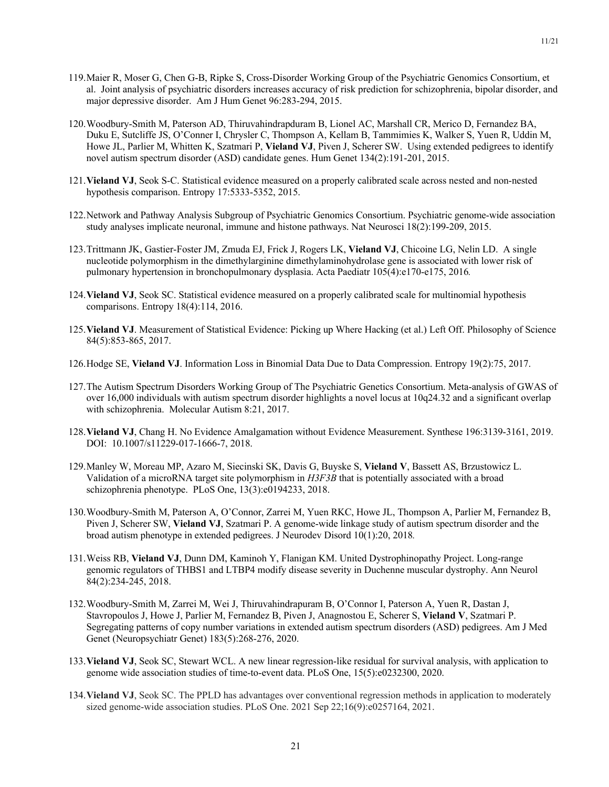11/21

- 119.Maier R, Moser G, Chen G-B, Ripke S, Cross-Disorder Working Group of the Psychiatric Genomics Consortium, et al. Joint analysis of psychiatric disorders increases accuracy of risk prediction for schizophrenia, bipolar disorder, and major depressive disorder. Am J Hum Genet 96:283-294, 2015.
- 120.Woodbury-Smith M, Paterson AD, Thiruvahindrapduram B, Lionel AC, Marshall CR, Merico D, Fernandez BA, Duku E, Sutcliffe JS, O'Conner I, Chrysler C, Thompson A, Kellam B, Tammimies K, Walker S, Yuen R, Uddin M, Howe JL, Parlier M, Whitten K, Szatmari P, **Vieland VJ**, Piven J, Scherer SW. Using extended pedigrees to identify novel autism spectrum disorder (ASD) candidate genes. Hum Genet 134(2):191-201, 2015.
- 121.**Vieland VJ**, Seok S-C. Statistical evidence measured on a properly calibrated scale across nested and non-nested hypothesis comparison. Entropy 17:5333-5352, 2015.
- 122.Network and Pathway Analysis Subgroup of Psychiatric Genomics Consortium. Psychiatric genome-wide association study analyses implicate neuronal, immune and histone pathways. Nat Neurosci 18(2):199-209, 2015.
- 123.Trittmann JK, Gastier-Foster JM, Zmuda EJ, Frick J, Rogers LK, **Vieland VJ**, Chicoine LG, Nelin LD. A single nucleotide polymorphism in the dimethylarginine dimethylaminohydrolase gene is associated with lower risk of pulmonary hypertension in bronchopulmonary dysplasia. Acta Paediatr 105(4):e170-e175, 2016*.*
- 124.**Vieland VJ**, Seok SC. Statistical evidence measured on a properly calibrated scale for multinomial hypothesis comparisons. Entropy 18(4):114, 2016.
- 125.**Vieland VJ**. Measurement of Statistical Evidence: Picking up Where Hacking (et al.) Left Off. Philosophy of Science 84(5):853-865, 2017.
- 126.Hodge SE, **Vieland VJ**. Information Loss in Binomial Data Due to Data Compression. Entropy 19(2):75, 2017.
- 127.The Autism Spectrum Disorders Working Group of The Psychiatric Genetics Consortium. Meta-analysis of GWAS of over 16,000 individuals with autism spectrum disorder highlights a novel locus at 10q24.32 and a significant overlap with schizophrenia. Molecular Autism 8:21, 2017.
- 128.**Vieland VJ**, Chang H. No Evidence Amalgamation without Evidence Measurement. Synthese 196:3139-3161, 2019. DOI: 10.1007/s11229-017-1666-7, 2018.
- 129.Manley W, Moreau MP, Azaro M, Siecinski SK, Davis G, Buyske S, **Vieland V**, Bassett AS, Brzustowicz L. Validation of a microRNA target site polymorphism in *H3F3B* that is potentially associated with a broad schizophrenia phenotype. PLoS One, 13(3):e0194233, 2018.
- 130.Woodbury-Smith M, Paterson A, O'Connor, Zarrei M, Yuen RKC, Howe JL, Thompson A, Parlier M, Fernandez B, Piven J, Scherer SW, **Vieland VJ**, Szatmari P. A genome-wide linkage study of autism spectrum disorder and the broad autism phenotype in extended pedigrees. J Neurodev Disord 10(1):20, 2018*.*
- 131.Weiss RB, **Vieland VJ**, Dunn DM, Kaminoh Y, Flanigan KM. United Dystrophinopathy Project. Long-range genomic regulators of THBS1 and LTBP4 modify disease severity in Duchenne muscular dystrophy. Ann Neurol 84(2):234-245, 2018.
- 132.Woodbury-Smith M, Zarrei M, Wei J, Thiruvahindrapuram B, O'Connor I, Paterson A, Yuen R, Dastan J, Stavropoulos J, Howe J, Parlier M, Fernandez B, Piven J, Anagnostou E, Scherer S, **Vieland V**, Szatmari P. Segregating patterns of copy number variations in extended autism spectrum disorders (ASD) pedigrees. Am J Med Genet (Neuropsychiatr Genet) 183(5):268-276, 2020.
- 133.**Vieland VJ**, Seok SC, Stewart WCL. A new linear regression-like residual for survival analysis, with application to genome wide association studies of time-to-event data. PLoS One, 15(5):e0232300, 2020.
- 134.**Vieland VJ**, Seok SC. The PPLD has advantages over conventional regression methods in application to moderately sized genome-wide association studies. PLoS One. 2021 Sep 22;16(9):e0257164, 2021.

21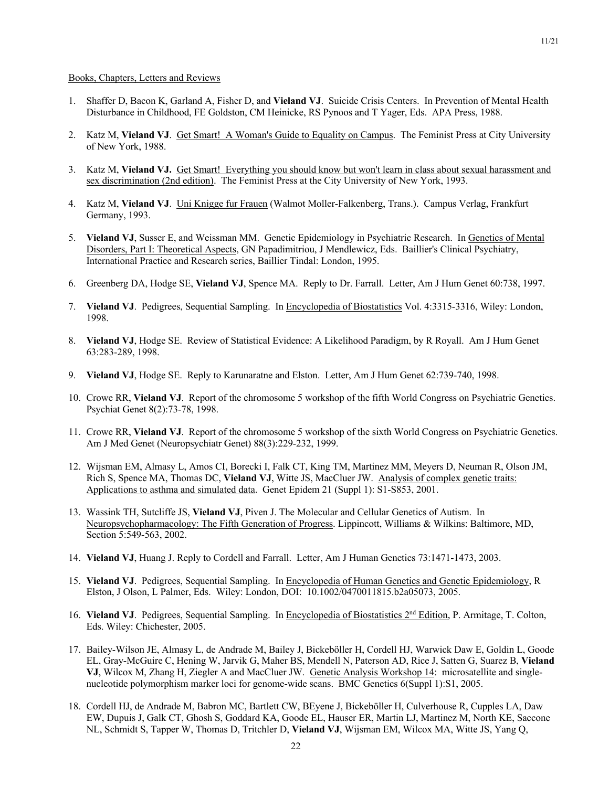- 1. Shaffer D, Bacon K, Garland A, Fisher D, and **Vieland VJ**. Suicide Crisis Centers. In Prevention of Mental Health Disturbance in Childhood, FE Goldston, CM Heinicke, RS Pynoos and T Yager, Eds. APA Press, 1988.
- 2. Katz M, **Vieland VJ**. Get Smart! A Woman's Guide to Equality on Campus. The Feminist Press at City University of New York, 1988.
- 3. Katz M, **Vieland VJ.** Get Smart! Everything you should know but won't learn in class about sexual harassment and sex discrimination (2nd edition). The Feminist Press at the City University of New York, 1993.
- 4. Katz M, **Vieland VJ**. Uni Knigge fur Frauen (Walmot Moller-Falkenberg, Trans.). Campus Verlag, Frankfurt Germany, 1993.
- 5. **Vieland VJ**, Susser E, and Weissman MM. Genetic Epidemiology in Psychiatric Research. In Genetics of Mental Disorders, Part I: Theoretical Aspects, GN Papadimitriou, J Mendlewicz, Eds. Baillier's Clinical Psychiatry, International Practice and Research series, Baillier Tindal: London, 1995.
- 6. Greenberg DA, Hodge SE, **Vieland VJ**, Spence MA. Reply to Dr. Farrall. Letter, Am J Hum Genet 60:738, 1997.
- 7. **Vieland VJ**. Pedigrees, Sequential Sampling. In Encyclopedia of Biostatistics Vol. 4:3315-3316, Wiley: London, 1998.
- 8. **Vieland VJ**, Hodge SE. Review of Statistical Evidence: A Likelihood Paradigm, by R Royall. Am J Hum Genet 63:283-289, 1998.
- 9. **Vieland VJ**, Hodge SE. Reply to Karunaratne and Elston. Letter, Am J Hum Genet 62:739-740, 1998.
- 10. Crowe RR, **Vieland VJ**. Report of the chromosome 5 workshop of the fifth World Congress on Psychiatric Genetics. Psychiat Genet 8(2):73-78, 1998.
- 11. Crowe RR, **Vieland VJ**. Report of the chromosome 5 workshop of the sixth World Congress on Psychiatric Genetics. Am J Med Genet (Neuropsychiatr Genet) 88(3):229-232, 1999.
- 12. Wijsman EM, Almasy L, Amos CI, Borecki I, Falk CT, King TM, Martinez MM, Meyers D, Neuman R, Olson JM, Rich S, Spence MA, Thomas DC, **Vieland VJ**, Witte JS, MacCluer JW. Analysis of complex genetic traits: Applications to asthma and simulated data. Genet Epidem 21 (Suppl 1): S1-S853, 2001.
- 13. Wassink TH, Sutcliffe JS, **Vieland VJ**, Piven J. The Molecular and Cellular Genetics of Autism. In Neuropsychopharmacology: The Fifth Generation of Progress. Lippincott, Williams & Wilkins: Baltimore, MD, Section 5:549-563, 2002.
- 14. **Vieland VJ**, Huang J. Reply to Cordell and Farrall. Letter, Am J Human Genetics 73:1471-1473, 2003.
- 15. **Vieland VJ**. Pedigrees, Sequential Sampling. In Encyclopedia of Human Genetics and Genetic Epidemiology, R Elston, J Olson, L Palmer, Eds. Wiley: London, DOI: 10.1002/0470011815.b2a05073, 2005.
- 16. **Vieland VJ**. Pedigrees, Sequential Sampling. In Encyclopedia of Biostatistics 2<sup>nd</sup> Edition, P. Armitage, T. Colton, Eds. Wiley: Chichester, 2005.
- 17. Bailey-Wilson JE, Almasy L, de Andrade M, Bailey J, Bickeböller H, Cordell HJ, Warwick Daw E, Goldin L, Goode EL, Gray-McGuire C, Hening W, Jarvik G, Maher BS, Mendell N, Paterson AD, Rice J, Satten G, Suarez B, **Vieland VJ**, Wilcox M, Zhang H, Ziegler A and MacCluer JW. Genetic Analysis Workshop 14: microsatellite and singlenucleotide polymorphism marker loci for genome-wide scans. BMC Genetics 6(Suppl 1):S1, 2005.
- 18. Cordell HJ, de Andrade M, Babron MC, Bartlett CW, BEyene J, Bickeböller H, Culverhouse R, Cupples LA, Daw EW, Dupuis J, Galk CT, Ghosh S, Goddard KA, Goode EL, Hauser ER, Martin LJ, Martinez M, North KE, Saccone NL, Schmidt S, Tapper W, Thomas D, Tritchler D, **Vieland VJ**, Wijsman EM, Wilcox MA, Witte JS, Yang Q,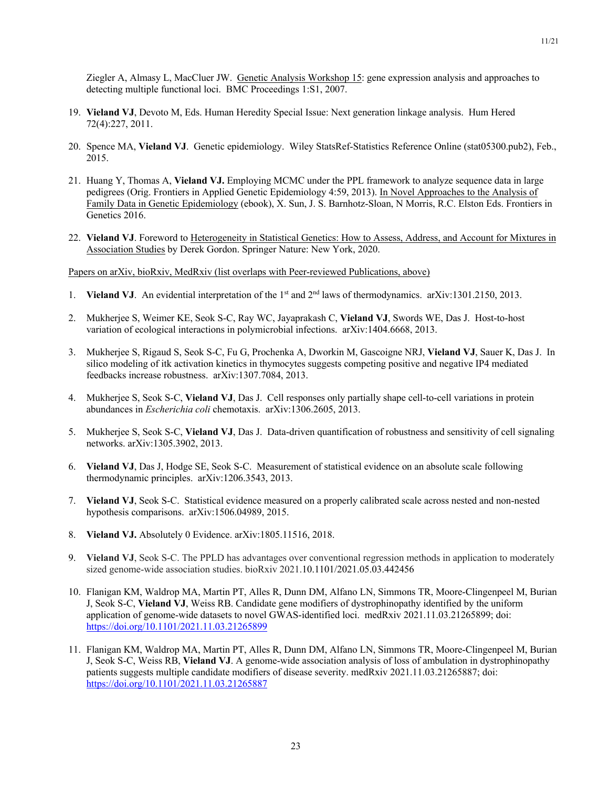Ziegler A, Almasy L, MacCluer JW. Genetic Analysis Workshop 15: gene expression analysis and approaches to detecting multiple functional loci. BMC Proceedings 1:S1, 2007.

- 19. **Vieland VJ**, Devoto M, Eds. Human Heredity Special Issue: Next generation linkage analysis. Hum Hered 72(4):227, 2011.
- 20. Spence MA, **Vieland VJ**. Genetic epidemiology. Wiley StatsRef-Statistics Reference Online (stat05300.pub2), Feb., 2015.
- 21. Huang Y, Thomas A, **Vieland VJ.** Employing MCMC under the PPL framework to analyze sequence data in large pedigrees (Orig. Frontiers in Applied Genetic Epidemiology 4:59, 2013). In Novel Approaches to the Analysis of Family Data in Genetic Epidemiology (ebook), X. Sun, J. S. Barnhotz-Sloan, N Morris, R.C. Elston Eds. Frontiers in Genetics 2016.
- 22. **Vieland VJ**. Foreword to Heterogeneity in Statistical Genetics: How to Assess, Address, and Account for Mixtures in Association Studies by Derek Gordon. Springer Nature: New York, 2020.

Papers on arXiv, bioRxiv, MedRxiv (list overlaps with Peer-reviewed Publications, above)

- 1. **Vieland VJ.** An evidential interpretation of the 1<sup>st</sup> and 2<sup>nd</sup> laws of thermodynamics. arXiv:1301.2150, 2013.
- 2. Mukherjee S, Weimer KE, Seok S-C, Ray WC, Jayaprakash C, **Vieland VJ**, Swords WE, Das J. Host-to-host variation of ecological interactions in polymicrobial infections. arXiv:1404.6668, 2013.
- 3. Mukherjee S, Rigaud S, Seok S-C, Fu G, Prochenka A, Dworkin M, Gascoigne NRJ, **Vieland VJ**, Sauer K, Das J. In silico modeling of itk activation kinetics in thymocytes suggests competing positive and negative IP4 mediated feedbacks increase robustness. arXiv:1307.7084, 2013.
- 4. Mukherjee S, Seok S-C, **Vieland VJ**, Das J. Cell responses only partially shape cell-to-cell variations in protein abundances in *Escherichia coli* chemotaxis. arXiv:1306.2605, 2013.
- 5. Mukherjee S, Seok S-C, **Vieland VJ**, Das J. Data-driven quantification of robustness and sensitivity of cell signaling networks. arXiv:1305.3902, 2013.
- 6. **Vieland VJ**, Das J, Hodge SE, Seok S-C. Measurement of statistical evidence on an absolute scale following thermodynamic principles. arXiv:1206.3543, 2013.
- 7. **Vieland VJ**, Seok S-C. Statistical evidence measured on a properly calibrated scale across nested and non-nested hypothesis comparisons. arXiv:1506.04989, 2015.
- 8. **Vieland VJ.** Absolutely 0 Evidence. arXiv:1805.11516, 2018.
- 9. **Vieland VJ**, Seok S-C. The PPLD has advantages over conventional regression methods in application to moderately sized genome-wide association studies. bioRxiv 2021.10.1101/2021.05.03.442456
- 10. Flanigan KM, Waldrop MA, Martin PT, Alles R, Dunn DM, Alfano LN, Simmons TR, Moore-Clingenpeel M, Burian J, Seok S-C, **Vieland VJ**, Weiss RB. Candidate gene modifiers of dystrophinopathy identified by the uniform application of genome-wide datasets to novel GWAS-identified loci. medRxiv 2021.11.03.21265899; doi: https://doi.org/10.1101/2021.11.03.21265899
- 11. Flanigan KM, Waldrop MA, Martin PT, Alles R, Dunn DM, Alfano LN, Simmons TR, Moore-Clingenpeel M, Burian J, Seok S-C, Weiss RB, **Vieland VJ**. A genome-wide association analysis of loss of ambulation in dystrophinopathy patients suggests multiple candidate modifiers of disease severity. medRxiv 2021.11.03.21265887; doi: https://doi.org/10.1101/2021.11.03.21265887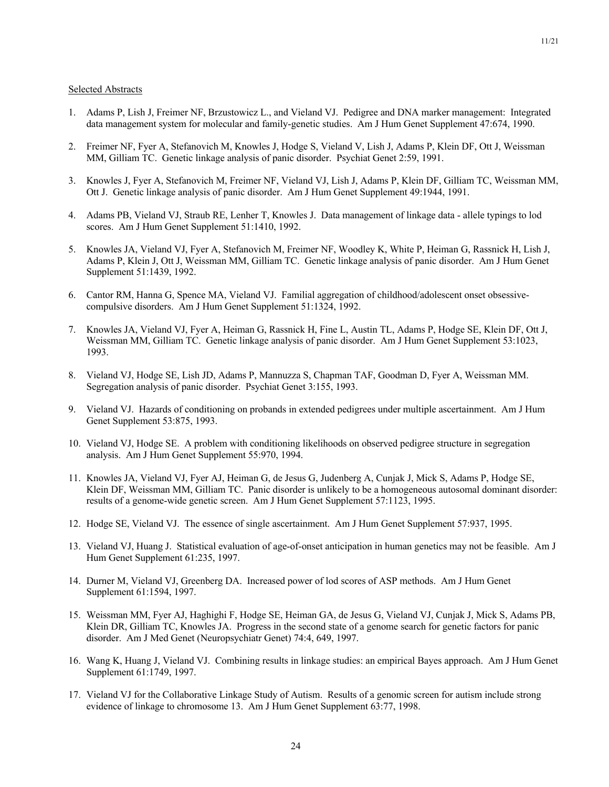#### Selected Abstracts

- 1. Adams P, Lish J, Freimer NF, Brzustowicz L., and Vieland VJ. Pedigree and DNA marker management: Integrated data management system for molecular and family-genetic studies. Am J Hum Genet Supplement 47:674, 1990.
- 2. Freimer NF, Fyer A, Stefanovich M, Knowles J, Hodge S, Vieland V, Lish J, Adams P, Klein DF, Ott J, Weissman MM, Gilliam TC. Genetic linkage analysis of panic disorder. Psychiat Genet 2:59, 1991.
- 3. Knowles J, Fyer A, Stefanovich M, Freimer NF, Vieland VJ, Lish J, Adams P, Klein DF, Gilliam TC, Weissman MM, Ott J. Genetic linkage analysis of panic disorder. Am J Hum Genet Supplement 49:1944, 1991.
- 4. Adams PB, Vieland VJ, Straub RE, Lenher T, Knowles J. Data management of linkage data allele typings to lod scores. Am J Hum Genet Supplement 51:1410, 1992.
- 5. Knowles JA, Vieland VJ, Fyer A, Stefanovich M, Freimer NF, Woodley K, White P, Heiman G, Rassnick H, Lish J, Adams P, Klein J, Ott J, Weissman MM, Gilliam TC. Genetic linkage analysis of panic disorder. Am J Hum Genet Supplement 51:1439, 1992.
- 6. Cantor RM, Hanna G, Spence MA, Vieland VJ. Familial aggregation of childhood/adolescent onset obsessivecompulsive disorders. Am J Hum Genet Supplement 51:1324, 1992.
- 7. Knowles JA, Vieland VJ, Fyer A, Heiman G, Rassnick H, Fine L, Austin TL, Adams P, Hodge SE, Klein DF, Ott J, Weissman MM, Gilliam TC. Genetic linkage analysis of panic disorder. Am J Hum Genet Supplement 53:1023, 1993.
- 8. Vieland VJ, Hodge SE, Lish JD, Adams P, Mannuzza S, Chapman TAF, Goodman D, Fyer A, Weissman MM. Segregation analysis of panic disorder. Psychiat Genet 3:155, 1993.
- 9. Vieland VJ. Hazards of conditioning on probands in extended pedigrees under multiple ascertainment. Am J Hum Genet Supplement 53:875, 1993.
- 10. Vieland VJ, Hodge SE. A problem with conditioning likelihoods on observed pedigree structure in segregation analysis. Am J Hum Genet Supplement 55:970, 1994.
- 11. Knowles JA, Vieland VJ, Fyer AJ, Heiman G, de Jesus G, Judenberg A, Cunjak J, Mick S, Adams P, Hodge SE, Klein DF, Weissman MM, Gilliam TC. Panic disorder is unlikely to be a homogeneous autosomal dominant disorder: results of a genome-wide genetic screen. Am J Hum Genet Supplement 57:1123, 1995.
- 12. Hodge SE, Vieland VJ. The essence of single ascertainment. Am J Hum Genet Supplement 57:937, 1995.
- 13. Vieland VJ, Huang J. Statistical evaluation of age-of-onset anticipation in human genetics may not be feasible. Am J Hum Genet Supplement 61:235, 1997.
- 14. Durner M, Vieland VJ, Greenberg DA. Increased power of lod scores of ASP methods. Am J Hum Genet Supplement 61:1594, 1997.
- 15. Weissman MM, Fyer AJ, Haghighi F, Hodge SE, Heiman GA, de Jesus G, Vieland VJ, Cunjak J, Mick S, Adams PB, Klein DR, Gilliam TC, Knowles JA. Progress in the second state of a genome search for genetic factors for panic disorder. Am J Med Genet (Neuropsychiatr Genet) 74:4, 649, 1997.
- 16. Wang K, Huang J, Vieland VJ. Combining results in linkage studies: an empirical Bayes approach. Am J Hum Genet Supplement 61:1749, 1997.
- 17. Vieland VJ for the Collaborative Linkage Study of Autism. Results of a genomic screen for autism include strong evidence of linkage to chromosome 13. Am J Hum Genet Supplement 63:77, 1998.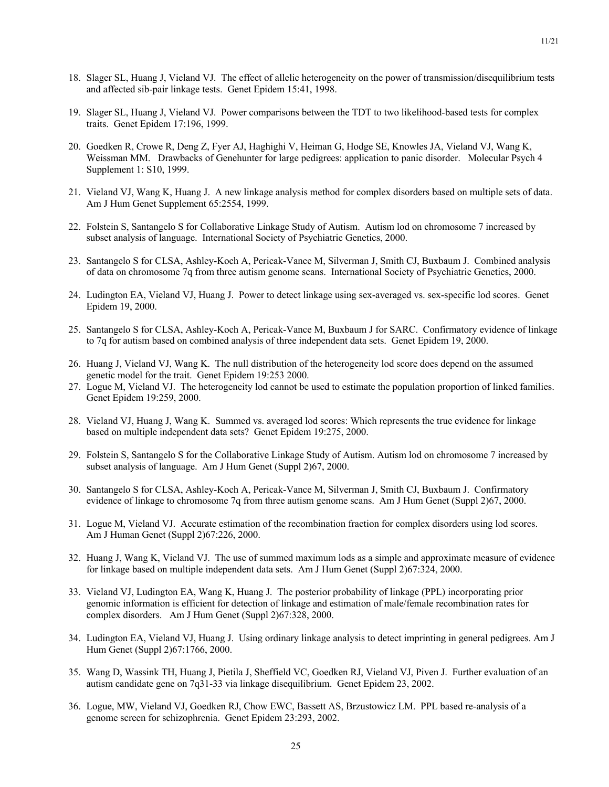- 18. Slager SL, Huang J, Vieland VJ. The effect of allelic heterogeneity on the power of transmission/disequilibrium tests and affected sib-pair linkage tests. Genet Epidem 15:41, 1998.
- 19. Slager SL, Huang J, Vieland VJ. Power comparisons between the TDT to two likelihood-based tests for complex traits. Genet Epidem 17:196, 1999.
- 20. Goedken R, Crowe R, Deng Z, Fyer AJ, Haghighi V, Heiman G, Hodge SE, Knowles JA, Vieland VJ, Wang K, Weissman MM. Drawbacks of Genehunter for large pedigrees: application to panic disorder. Molecular Psych 4 Supplement 1: S10, 1999.
- 21. Vieland VJ, Wang K, Huang J. A new linkage analysis method for complex disorders based on multiple sets of data. Am J Hum Genet Supplement 65:2554, 1999.
- 22. Folstein S, Santangelo S for Collaborative Linkage Study of Autism. Autism lod on chromosome 7 increased by subset analysis of language. International Society of Psychiatric Genetics, 2000.
- 23. Santangelo S for CLSA, Ashley-Koch A, Pericak-Vance M, Silverman J, Smith CJ, Buxbaum J. Combined analysis of data on chromosome 7q from three autism genome scans. International Society of Psychiatric Genetics, 2000.
- 24. Ludington EA, Vieland VJ, Huang J. Power to detect linkage using sex-averaged vs. sex-specific lod scores. Genet Epidem 19, 2000.
- 25. Santangelo S for CLSA, Ashley-Koch A, Pericak-Vance M, Buxbaum J for SARC. Confirmatory evidence of linkage to 7q for autism based on combined analysis of three independent data sets. Genet Epidem 19, 2000.
- 26. Huang J, Vieland VJ, Wang K. The null distribution of the heterogeneity lod score does depend on the assumed genetic model for the trait. Genet Epidem 19:253 2000.
- 27. Logue M, Vieland VJ. The heterogeneity lod cannot be used to estimate the population proportion of linked families. Genet Epidem 19:259, 2000.
- 28. Vieland VJ, Huang J, Wang K. Summed vs. averaged lod scores: Which represents the true evidence for linkage based on multiple independent data sets? Genet Epidem 19:275, 2000.
- 29. Folstein S, Santangelo S for the Collaborative Linkage Study of Autism. Autism lod on chromosome 7 increased by subset analysis of language. Am J Hum Genet (Suppl 2)67, 2000.
- 30. Santangelo S for CLSA, Ashley-Koch A, Pericak-Vance M, Silverman J, Smith CJ, Buxbaum J. Confirmatory evidence of linkage to chromosome 7q from three autism genome scans. Am J Hum Genet (Suppl 2)67, 2000.
- 31. Logue M, Vieland VJ. Accurate estimation of the recombination fraction for complex disorders using lod scores. Am J Human Genet (Suppl 2)67:226, 2000.
- 32. Huang J, Wang K, Vieland VJ. The use of summed maximum lods as a simple and approximate measure of evidence for linkage based on multiple independent data sets. Am J Hum Genet (Suppl 2)67:324, 2000.
- 33. Vieland VJ, Ludington EA, Wang K, Huang J. The posterior probability of linkage (PPL) incorporating prior genomic information is efficient for detection of linkage and estimation of male/female recombination rates for complex disorders. Am J Hum Genet (Suppl 2)67:328, 2000.
- 34. Ludington EA, Vieland VJ, Huang J. Using ordinary linkage analysis to detect imprinting in general pedigrees. Am J Hum Genet (Suppl 2)67:1766, 2000.
- 35. Wang D, Wassink TH, Huang J, Pietila J, Sheffield VC, Goedken RJ, Vieland VJ, Piven J. Further evaluation of an autism candidate gene on 7q31-33 via linkage disequilibrium. Genet Epidem 23, 2002.
- 36. Logue, MW, Vieland VJ, Goedken RJ, Chow EWC, Bassett AS, Brzustowicz LM. PPL based re-analysis of a genome screen for schizophrenia. Genet Epidem 23:293, 2002.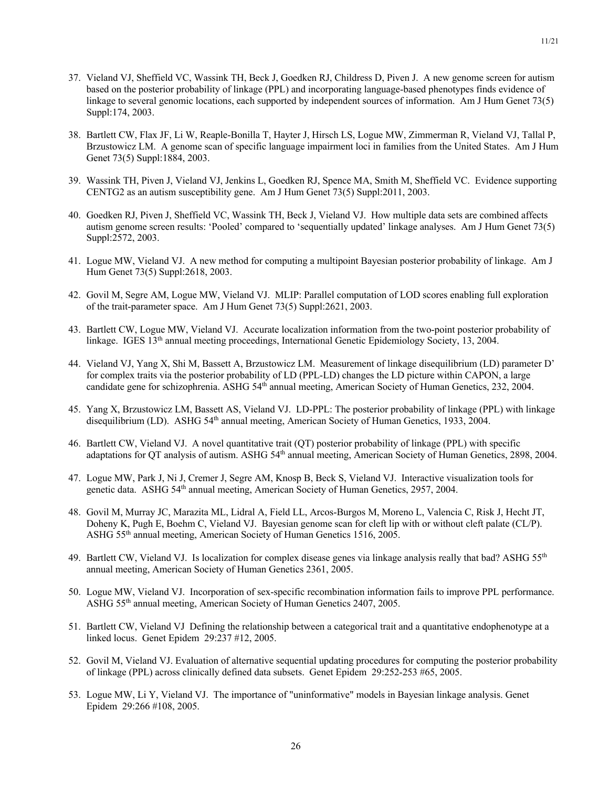- 37. Vieland VJ, Sheffield VC, Wassink TH, Beck J, Goedken RJ, Childress D, Piven J. A new genome screen for autism based on the posterior probability of linkage (PPL) and incorporating language-based phenotypes finds evidence of linkage to several genomic locations, each supported by independent sources of information. Am J Hum Genet 73(5) Suppl:174, 2003.
- 38. Bartlett CW, Flax JF, Li W, Reaple-Bonilla T, Hayter J, Hirsch LS, Logue MW, Zimmerman R, Vieland VJ, Tallal P, Brzustowicz LM. A genome scan of specific language impairment loci in families from the United States. Am J Hum Genet 73(5) Suppl:1884, 2003.
- 39. Wassink TH, Piven J, Vieland VJ, Jenkins L, Goedken RJ, Spence MA, Smith M, Sheffield VC. Evidence supporting CENTG2 as an autism susceptibility gene. Am J Hum Genet 73(5) Suppl:2011, 2003.
- 40. Goedken RJ, Piven J, Sheffield VC, Wassink TH, Beck J, Vieland VJ. How multiple data sets are combined affects autism genome screen results: 'Pooled' compared to 'sequentially updated' linkage analyses. Am J Hum Genet 73(5) Suppl:2572, 2003.
- 41. Logue MW, Vieland VJ. A new method for computing a multipoint Bayesian posterior probability of linkage. Am J Hum Genet 73(5) Suppl:2618, 2003.
- 42. Govil M, Segre AM, Logue MW, Vieland VJ. MLIP: Parallel computation of LOD scores enabling full exploration of the trait-parameter space. Am J Hum Genet 73(5) Suppl:2621, 2003.
- 43. Bartlett CW, Logue MW, Vieland VJ. Accurate localization information from the two-point posterior probability of linkage. IGES 13<sup>th</sup> annual meeting proceedings, International Genetic Epidemiology Society, 13, 2004.
- 44. Vieland VJ, Yang X, Shi M, Bassett A, Brzustowicz LM. Measurement of linkage disequilibrium (LD) parameter D' for complex traits via the posterior probability of LD (PPL-LD) changes the LD picture within CAPON, a large candidate gene for schizophrenia. ASHG 54<sup>th</sup> annual meeting, American Society of Human Genetics, 232, 2004.
- 45. Yang X, Brzustowicz LM, Bassett AS, Vieland VJ. LD-PPL: The posterior probability of linkage (PPL) with linkage disequilibrium (LD). ASHG 54<sup>th</sup> annual meeting, American Society of Human Genetics, 1933, 2004.
- 46. Bartlett CW, Vieland VJ. A novel quantitative trait (QT) posterior probability of linkage (PPL) with specific adaptations for QT analysis of autism. ASHG 54<sup>th</sup> annual meeting, American Society of Human Genetics, 2898, 2004.
- 47. Logue MW, Park J, Ni J, Cremer J, Segre AM, Knosp B, Beck S, Vieland VJ. Interactive visualization tools for genetic data. ASHG 54<sup>th</sup> annual meeting, American Society of Human Genetics, 2957, 2004.
- 48. Govil M, Murray JC, Marazita ML, Lidral A, Field LL, Arcos-Burgos M, Moreno L, Valencia C, Risk J, Hecht JT, Doheny K, Pugh E, Boehm C, Vieland VJ. Bayesian genome scan for cleft lip with or without cleft palate (CL/P). ASHG 55th annual meeting, American Society of Human Genetics 1516, 2005.
- 49. Bartlett CW, Vieland VJ. Is localization for complex disease genes via linkage analysis really that bad? ASHG 55<sup>th</sup> annual meeting, American Society of Human Genetics 2361, 2005.
- 50. Logue MW, Vieland VJ. Incorporation of sex-specific recombination information fails to improve PPL performance. ASHG 55th annual meeting, American Society of Human Genetics 2407, 2005.
- 51. Bartlett CW, Vieland VJ Defining the relationship between a categorical trait and a quantitative endophenotype at a linked locus. Genet Epidem 29:237 #12, 2005.
- 52. Govil M, Vieland VJ. Evaluation of alternative sequential updating procedures for computing the posterior probability of linkage (PPL) across clinically defined data subsets. Genet Epidem 29:252-253 #65, 2005.
- 53. Logue MW, Li Y, Vieland VJ. The importance of "uninformative" models in Bayesian linkage analysis. Genet Epidem 29:266 #108, 2005.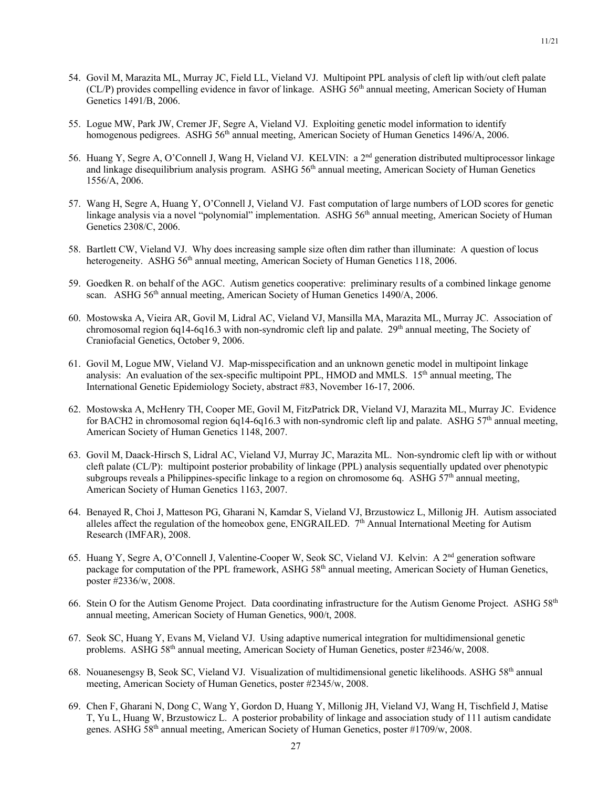- 54. Govil M, Marazita ML, Murray JC, Field LL, Vieland VJ. Multipoint PPL analysis of cleft lip with/out cleft palate  $(CL/P)$  provides compelling evidence in favor of linkage. ASHG  $56<sup>th</sup>$  annual meeting, American Society of Human Genetics 1491/B, 2006.
- 55. Logue MW, Park JW, Cremer JF, Segre A, Vieland VJ. Exploiting genetic model information to identify homogenous pedigrees. ASHG 56<sup>th</sup> annual meeting, American Society of Human Genetics 1496/A, 2006.
- 56. Huang Y, Segre A, O'Connell J, Wang H, Vieland VJ. KELVIN: a 2nd generation distributed multiprocessor linkage and linkage disequilibrium analysis program. ASHG 56<sup>th</sup> annual meeting, American Society of Human Genetics 1556/A, 2006.
- 57. Wang H, Segre A, Huang Y, O'Connell J, Vieland VJ. Fast computation of large numbers of LOD scores for genetic linkage analysis via a novel "polynomial" implementation. ASHG 56<sup>th</sup> annual meeting, American Society of Human Genetics 2308/C, 2006.
- 58. Bartlett CW, Vieland VJ. Why does increasing sample size often dim rather than illuminate: A question of locus heterogeneity. ASHG 56<sup>th</sup> annual meeting, American Society of Human Genetics 118, 2006.
- 59. Goedken R. on behalf of the AGC. Autism genetics cooperative: preliminary results of a combined linkage genome scan. ASHG 56<sup>th</sup> annual meeting, American Society of Human Genetics 1490/A, 2006.
- 60. Mostowska A, Vieira AR, Govil M, Lidral AC, Vieland VJ, Mansilla MA, Marazita ML, Murray JC. Association of chromosomal region 6q14-6q16.3 with non-syndromic cleft lip and palate. 29<sup>th</sup> annual meeting, The Society of Craniofacial Genetics, October 9, 2006.
- 61. Govil M, Logue MW, Vieland VJ. Map-misspecification and an unknown genetic model in multipoint linkage analysis: An evaluation of the sex-specific multipoint PPL, HMOD and MMLS.  $15<sup>th</sup>$  annual meeting. The International Genetic Epidemiology Society, abstract #83, November 16-17, 2006.
- 62. Mostowska A, McHenry TH, Cooper ME, Govil M, FitzPatrick DR, Vieland VJ, Marazita ML, Murray JC. Evidence for BACH2 in chromosomal region 6q14-6q16.3 with non-syndromic cleft lip and palate. ASHG 57<sup>th</sup> annual meeting, American Society of Human Genetics 1148, 2007.
- 63. Govil M, Daack-Hirsch S, Lidral AC, Vieland VJ, Murray JC, Marazita ML. Non-syndromic cleft lip with or without cleft palate (CL/P): multipoint posterior probability of linkage (PPL) analysis sequentially updated over phenotypic subgroups reveals a Philippines-specific linkage to a region on chromosome 6q. ASHG 57<sup>th</sup> annual meeting, American Society of Human Genetics 1163, 2007.
- 64. Benayed R, Choi J, Matteson PG, Gharani N, Kamdar S, Vieland VJ, Brzustowicz L, Millonig JH. Autism associated alleles affect the regulation of the homeobox gene, ENGRAILED.  $7<sup>th</sup>$  Annual International Meeting for Autism Research (IMFAR), 2008.
- 65. Huang Y, Segre A, O'Connell J, Valentine-Cooper W, Seok SC, Vieland VJ. Kelvin: A 2nd generation software package for computation of the PPL framework, ASHG 58<sup>th</sup> annual meeting, American Society of Human Genetics, poster #2336/w, 2008.
- 66. Stein O for the Autism Genome Project. Data coordinating infrastructure for the Autism Genome Project. ASHG  $58<sup>th</sup>$ annual meeting, American Society of Human Genetics, 900/t, 2008.
- 67. Seok SC, Huang Y, Evans M, Vieland VJ. Using adaptive numerical integration for multidimensional genetic problems. ASHG 58<sup>th</sup> annual meeting, American Society of Human Genetics, poster #2346/w, 2008.
- 68. Nouanesengsy B, Seok SC, Vieland VJ. Visualization of multidimensional genetic likelihoods. ASHG 58th annual meeting, American Society of Human Genetics, poster #2345/w, 2008.
- 69. Chen F, Gharani N, Dong C, Wang Y, Gordon D, Huang Y, Millonig JH, Vieland VJ, Wang H, Tischfield J, Matise T, Yu L, Huang W, Brzustowicz L. A posterior probability of linkage and association study of 111 autism candidate genes. ASHG 58th annual meeting, American Society of Human Genetics, poster #1709/w, 2008.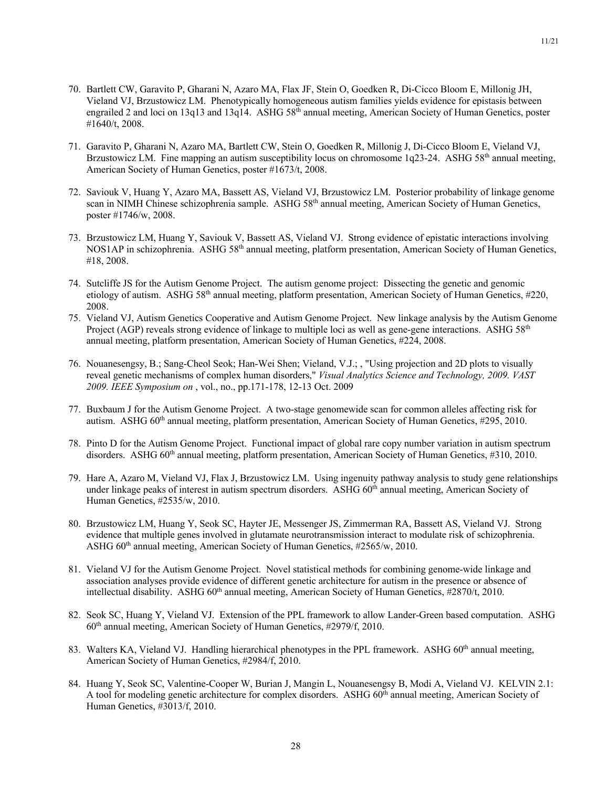- 70. Bartlett CW, Garavito P, Gharani N, Azaro MA, Flax JF, Stein O, Goedken R, Di-Cicco Bloom E, Millonig JH, Vieland VJ, Brzustowicz LM. Phenotypically homogeneous autism families yields evidence for epistasis between engrailed 2 and loci on 13q13 and 13q14. ASHG 58<sup>th</sup> annual meeting, American Society of Human Genetics, poster #1640/t, 2008.
- 71. Garavito P, Gharani N, Azaro MA, Bartlett CW, Stein O, Goedken R, Millonig J, Di-Cicco Bloom E, Vieland VJ, Brzustowicz LM. Fine mapping an autism susceptibility locus on chromosome 1q23-24. ASHG 58<sup>th</sup> annual meeting, American Society of Human Genetics, poster #1673/t, 2008.
- 72. Saviouk V, Huang Y, Azaro MA, Bassett AS, Vieland VJ, Brzustowicz LM. Posterior probability of linkage genome scan in NIMH Chinese schizophrenia sample. ASHG 58<sup>th</sup> annual meeting, American Society of Human Genetics, poster #1746/w, 2008.
- 73. Brzustowicz LM, Huang Y, Saviouk V, Bassett AS, Vieland VJ. Strong evidence of epistatic interactions involving NOS1AP in schizophrenia. ASHG 58th annual meeting, platform presentation, American Society of Human Genetics, #18, 2008.
- 74. Sutcliffe JS for the Autism Genome Project. The autism genome project: Dissecting the genetic and genomic etiology of autism. ASHG 58<sup>th</sup> annual meeting, platform presentation, American Society of Human Genetics, #220, 2008.
- 75. Vieland VJ, Autism Genetics Cooperative and Autism Genome Project. New linkage analysis by the Autism Genome Project (AGP) reveals strong evidence of linkage to multiple loci as well as gene-gene interactions. ASHG  $58<sup>th</sup>$ annual meeting, platform presentation, American Society of Human Genetics, #224, 2008.
- 76. Nouanesengsy, B.; Sang-Cheol Seok; Han-Wei Shen; Vieland, V.J.; , "Using projection and 2D plots to visually reveal genetic mechanisms of complex human disorders," *Visual Analytics Science and Technology, 2009. VAST 2009. IEEE Symposium on* , vol., no., pp.171-178, 12-13 Oct. 2009
- 77. Buxbaum J for the Autism Genome Project. A two-stage genomewide scan for common alleles affecting risk for autism. ASHG 60<sup>th</sup> annual meeting, platform presentation, American Society of Human Genetics, #295, 2010.
- 78. Pinto D for the Autism Genome Project. Functional impact of global rare copy number variation in autism spectrum disorders. ASHG 60<sup>th</sup> annual meeting, platform presentation, American Society of Human Genetics, #310, 2010.
- 79. Hare A, Azaro M, Vieland VJ, Flax J, Brzustowicz LM. Using ingenuity pathway analysis to study gene relationships under linkage peaks of interest in autism spectrum disorders. ASHG 60<sup>th</sup> annual meeting, American Society of Human Genetics, #2535/w, 2010.
- 80. Brzustowicz LM, Huang Y, Seok SC, Hayter JE, Messenger JS, Zimmerman RA, Bassett AS, Vieland VJ. Strong evidence that multiple genes involved in glutamate neurotransmission interact to modulate risk of schizophrenia. ASHG 60th annual meeting, American Society of Human Genetics, #2565/w, 2010.
- 81. Vieland VJ for the Autism Genome Project. Novel statistical methods for combining genome-wide linkage and association analyses provide evidence of different genetic architecture for autism in the presence or absence of intellectual disability. ASHG 60<sup>th</sup> annual meeting, American Society of Human Genetics, #2870/t, 2010.
- 82. Seok SC, Huang Y, Vieland VJ. Extension of the PPL framework to allow Lander-Green based computation. ASHG  $60<sup>th</sup>$  annual meeting, American Society of Human Genetics, #2979/f, 2010.
- 83. Walters KA, Vieland VJ. Handling hierarchical phenotypes in the PPL framework. ASHG 60<sup>th</sup> annual meeting, American Society of Human Genetics, #2984/f, 2010.
- 84. Huang Y, Seok SC, Valentine-Cooper W, Burian J, Mangin L, Nouanesengsy B, Modi A, Vieland VJ. KELVIN 2.1: A tool for modeling genetic architecture for complex disorders. ASHG 60<sup>th</sup> annual meeting, American Society of Human Genetics, #3013/f, 2010.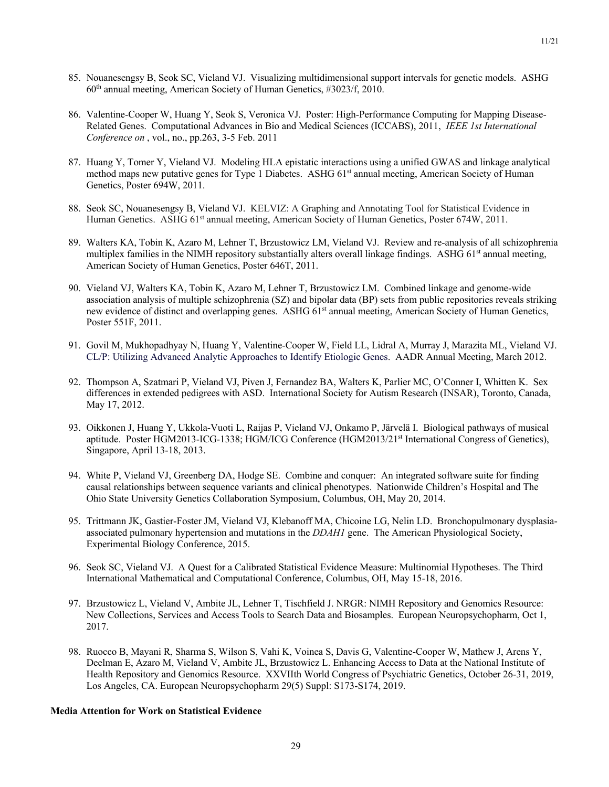- 85. Nouanesengsy B, Seok SC, Vieland VJ. Visualizing multidimensional support intervals for genetic models. ASHG  $60<sup>th</sup>$  annual meeting, American Society of Human Genetics, #3023/f, 2010.
- 86. Valentine-Cooper W, Huang Y, Seok S, Veronica VJ. Poster: High-Performance Computing for Mapping Disease-Related Genes. Computational Advances in Bio and Medical Sciences (ICCABS), 2011, *IEEE 1st International Conference on* , vol., no., pp.263, 3-5 Feb. 2011
- 87. Huang Y, Tomer Y, Vieland VJ. Modeling HLA epistatic interactions using a unified GWAS and linkage analytical method maps new putative genes for Type 1 Diabetes. ASHG 61<sup>st</sup> annual meeting, American Society of Human Genetics, Poster 694W, 2011.
- 88. Seok SC, Nouanesengsy B, Vieland VJ. KELVIZ: A Graphing and Annotating Tool for Statistical Evidence in Human Genetics. ASHG 61<sup>st</sup> annual meeting, American Society of Human Genetics, Poster 674W, 2011.
- 89. Walters KA, Tobin K, Azaro M, Lehner T, Brzustowicz LM, Vieland VJ. Review and re-analysis of all schizophrenia multiplex families in the NIMH repository substantially alters overall linkage findings. ASHG  $61<sup>st</sup>$  annual meeting, American Society of Human Genetics, Poster 646T, 2011.
- 90. Vieland VJ, Walters KA, Tobin K, Azaro M, Lehner T, Brzustowicz LM. Combined linkage and genome-wide association analysis of multiple schizophrenia (SZ) and bipolar data (BP) sets from public repositories reveals striking new evidence of distinct and overlapping genes. ASHG 61<sup>st</sup> annual meeting, American Society of Human Genetics, Poster 551F, 2011.
- 91. Govil M, Mukhopadhyay N, Huang Y, Valentine-Cooper W, Field LL, Lidral A, Murray J, Marazita ML, Vieland VJ. CL/P: Utilizing Advanced Analytic Approaches to Identify Etiologic Genes. AADR Annual Meeting, March 2012.
- 92. Thompson A, Szatmari P, Vieland VJ, Piven J, Fernandez BA, Walters K, Parlier MC, O'Conner I, Whitten K. Sex differences in extended pedigrees with ASD. International Society for Autism Research (INSAR), Toronto, Canada, May 17, 2012.
- 93. Oikkonen J, Huang Y, Ukkola-Vuoti L, Raijas P, Vieland VJ, Onkamo P, Järvelä I. Biological pathways of musical aptitude. Poster HGM2013-ICG-1338; HGM/ICG Conference (HGM2013/21<sup>st</sup> International Congress of Genetics), Singapore, April 13-18, 2013.
- 94. White P, Vieland VJ, Greenberg DA, Hodge SE. Combine and conquer: An integrated software suite for finding causal relationships between sequence variants and clinical phenotypes. Nationwide Children's Hospital and The Ohio State University Genetics Collaboration Symposium, Columbus, OH, May 20, 2014.
- 95. Trittmann JK, Gastier-Foster JM, Vieland VJ, Klebanoff MA, Chicoine LG, Nelin LD. Bronchopulmonary dysplasiaassociated pulmonary hypertension and mutations in the *DDAH1* gene. The American Physiological Society, Experimental Biology Conference, 2015.
- 96. Seok SC, Vieland VJ. A Quest for a Calibrated Statistical Evidence Measure: Multinomial Hypotheses. The Third International Mathematical and Computational Conference, Columbus, OH, May 15-18, 2016.
- 97. Brzustowicz L, Vieland V, Ambite JL, Lehner T, Tischfield J. NRGR: NIMH Repository and Genomics Resource: New Collections, Services and Access Tools to Search Data and Biosamples. European Neuropsychopharm, Oct 1, 2017.
- 98. Ruocco B, Mayani R, Sharma S, Wilson S, Vahi K, Voinea S, Davis G, Valentine-Cooper W, Mathew J, Arens Y, Deelman E, Azaro M, Vieland V, Ambite JL, Brzustowicz L. Enhancing Access to Data at the National Institute of Health Repository and Genomics Resource. XXVIIth World Congress of Psychiatric Genetics, October 26-31, 2019, Los Angeles, CA. European Neuropsychopharm 29(5) Suppl: S173-S174, 2019.

## **Media Attention for Work on Statistical Evidence**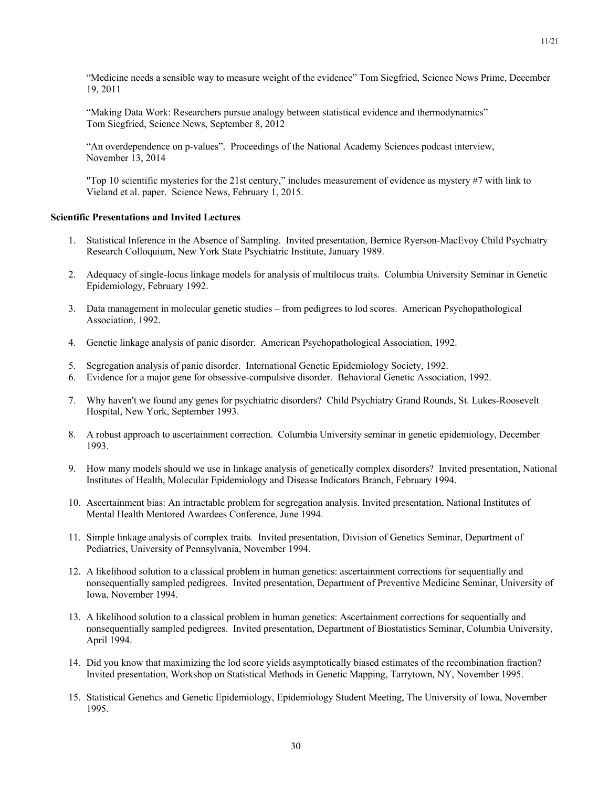"Medicine needs a sensible way to measure weight of the evidence" Tom Siegfried, Science News Prime, December 19, 2011

"Making Data Work: Researchers pursue analogy between statistical evidence and thermodynamics" Tom Siegfried, Science News, September 8, 2012

"An overdependence on p-values". Proceedings of the National Academy Sciences podcast interview, November 13, 2014

"Top 10 scientific mysteries for the 21st century," includes measurement of evidence as mystery #7 with link to Vieland et al. paper. Science News, February 1, 2015.

## **Scientific Presentations and Invited Lectures**

- 1. Statistical Inference in the Absence of Sampling. Invited presentation, Bernice Ryerson-MacEvoy Child Psychiatry Research Colloquium, New York State Psychiatric Institute, January 1989.
- 2. Adequacy of single-locus linkage models for analysis of multilocus traits. Columbia University Seminar in Genetic Epidemiology, February 1992.
- 3. Data management in molecular genetic studies from pedigrees to lod scores. American Psychopathological Association, 1992.
- 4. Genetic linkage analysis of panic disorder. American Psychopathological Association, 1992.
- 5. Segregation analysis of panic disorder. International Genetic Epidemiology Society, 1992.
- 6. Evidence for a major gene for obsessive-compulsive disorder. Behavioral Genetic Association, 1992.
- 7. Why haven't we found any genes for psychiatric disorders? Child Psychiatry Grand Rounds, St. Lukes-Roosevelt Hospital, New York, September 1993.
- 8. A robust approach to ascertainment correction. Columbia University seminar in genetic epidemiology, December 1993.
- 9. How many models should we use in linkage analysis of genetically complex disorders? Invited presentation, National Institutes of Health, Molecular Epidemiology and Disease Indicators Branch, February 1994.
- 10. Ascertainment bias: An intractable problem for segregation analysis. Invited presentation, National Institutes of Mental Health Mentored Awardees Conference, June 1994.
- 11. Simple linkage analysis of complex traits. Invited presentation, Division of Genetics Seminar, Department of Pediatrics, University of Pennsylvania, November 1994.
- 12. A likelihood solution to a classical problem in human genetics: ascertainment corrections for sequentially and nonsequentially sampled pedigrees. Invited presentation, Department of Preventive Medicine Seminar, University of Iowa, November 1994.
- 13. A likelihood solution to a classical problem in human genetics: Ascertainment corrections for sequentially and nonsequentially sampled pedigrees. Invited presentation, Department of Biostatistics Seminar, Columbia University, April 1994.
- 14. Did you know that maximizing the lod score yields asymptotically biased estimates of the recombination fraction? Invited presentation, Workshop on Statistical Methods in Genetic Mapping, Tarrytown, NY, November 1995.
- 15. Statistical Genetics and Genetic Epidemiology, Epidemiology Student Meeting, The University of Iowa, November 1995.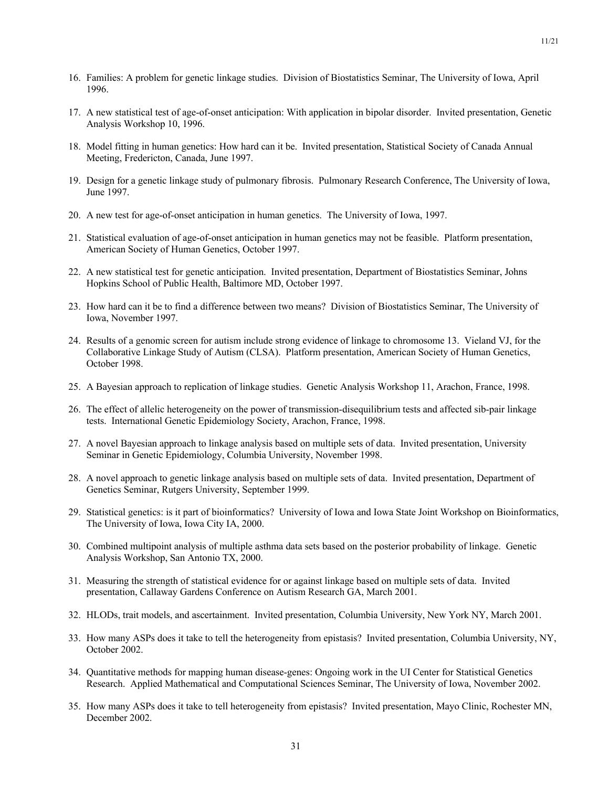- 17. A new statistical test of age-of-onset anticipation: With application in bipolar disorder. Invited presentation, Genetic Analysis Workshop 10, 1996.
- 18. Model fitting in human genetics: How hard can it be. Invited presentation, Statistical Society of Canada Annual Meeting, Fredericton, Canada, June 1997.
- 19. Design for a genetic linkage study of pulmonary fibrosis. Pulmonary Research Conference, The University of Iowa, June 1997.
- 20. A new test for age-of-onset anticipation in human genetics. The University of Iowa, 1997.
- 21. Statistical evaluation of age-of-onset anticipation in human genetics may not be feasible. Platform presentation, American Society of Human Genetics, October 1997.
- 22. A new statistical test for genetic anticipation. Invited presentation, Department of Biostatistics Seminar, Johns Hopkins School of Public Health, Baltimore MD, October 1997.
- 23. How hard can it be to find a difference between two means? Division of Biostatistics Seminar, The University of Iowa, November 1997.
- 24. Results of a genomic screen for autism include strong evidence of linkage to chromosome 13. Vieland VJ, for the Collaborative Linkage Study of Autism (CLSA). Platform presentation, American Society of Human Genetics, October 1998.
- 25. A Bayesian approach to replication of linkage studies. Genetic Analysis Workshop 11, Arachon, France, 1998.
- 26. The effect of allelic heterogeneity on the power of transmission-disequilibrium tests and affected sib-pair linkage tests. International Genetic Epidemiology Society, Arachon, France, 1998.
- 27. A novel Bayesian approach to linkage analysis based on multiple sets of data. Invited presentation, University Seminar in Genetic Epidemiology, Columbia University, November 1998.
- 28. A novel approach to genetic linkage analysis based on multiple sets of data. Invited presentation, Department of Genetics Seminar, Rutgers University, September 1999.
- 29. Statistical genetics: is it part of bioinformatics? University of Iowa and Iowa State Joint Workshop on Bioinformatics, The University of Iowa, Iowa City IA, 2000.
- 30. Combined multipoint analysis of multiple asthma data sets based on the posterior probability of linkage. Genetic Analysis Workshop, San Antonio TX, 2000.
- 31. Measuring the strength of statistical evidence for or against linkage based on multiple sets of data. Invited presentation, Callaway Gardens Conference on Autism Research GA, March 2001.
- 32. HLODs, trait models, and ascertainment. Invìted presentation, Columbia University, New York NY, March 2001.
- 33. How many ASPs does it take to tell the heterogeneity from epistasis? Invited presentation, Columbia University, NY, October 2002.
- 34. Quantitative methods for mapping human disease-genes: Ongoing work in the UI Center for Statistical Genetics Research. Applied Mathematical and Computational Sciences Seminar, The University of Iowa, November 2002.
- 35. How many ASPs does it take to tell heterogeneity from epistasis? Invited presentation, Mayo Clinic, Rochester MN, December 2002.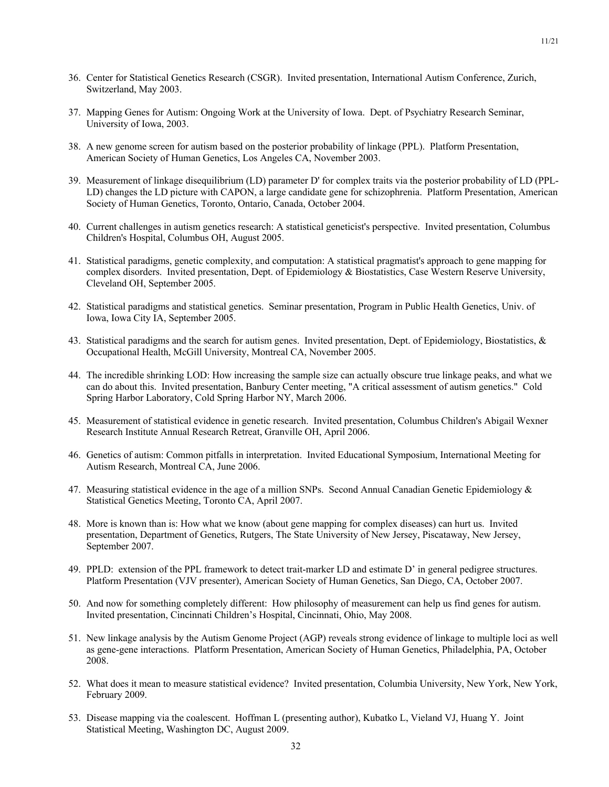- 36. Center for Statistical Genetics Research (CSGR). Invited presentation, International Autism Conference, Zurich, Switzerland, May 2003.
- 37. Mapping Genes for Autism: Ongoing Work at the University of Iowa. Dept. of Psychiatry Research Seminar, University of Iowa, 2003.
- 38. A new genome screen for autism based on the posterior probability of linkage (PPL). Platform Presentation, American Society of Human Genetics, Los Angeles CA, November 2003.
- 39. Measurement of linkage disequilibrium (LD) parameter D' for complex traits via the posterior probability of LD (PPL-LD) changes the LD picture with CAPON, a large candidate gene for schizophrenia. Platform Presentation, American Society of Human Genetics, Toronto, Ontario, Canada, October 2004.
- 40. Current challenges in autism genetics research: A statistical geneticist's perspective. Invited presentation, Columbus Children's Hospital, Columbus OH, August 2005.
- 41. Statistical paradigms, genetic complexity, and computation: A statistical pragmatist's approach to gene mapping for complex disorders. Invited presentation, Dept. of Epidemiology & Biostatistics, Case Western Reserve University, Cleveland OH, September 2005.
- 42. Statistical paradigms and statistical genetics. Seminar presentation, Program in Public Health Genetics, Univ. of Iowa, Iowa City IA, September 2005.
- 43. Statistical paradigms and the search for autism genes. Invited presentation, Dept. of Epidemiology, Biostatistics, & Occupational Health, McGill University, Montreal CA, November 2005.
- 44. The incredible shrinking LOD: How increasing the sample size can actually obscure true linkage peaks, and what we can do about this. Invited presentation, Banbury Center meeting, "A critical assessment of autism genetics." Cold Spring Harbor Laboratory, Cold Spring Harbor NY, March 2006.
- 45. Measurement of statistical evidence in genetic research. Invited presentation, Columbus Children's Abigail Wexner Research Institute Annual Research Retreat, Granville OH, April 2006.
- 46. Genetics of autism: Common pitfalls in interpretation. Invited Educational Symposium, International Meeting for Autism Research, Montreal CA, June 2006.
- 47. Measuring statistical evidence in the age of a million SNPs. Second Annual Canadian Genetic Epidemiology & Statistical Genetics Meeting, Toronto CA, April 2007.
- 48. More is known than is: How what we know (about gene mapping for complex diseases) can hurt us. Invited presentation, Department of Genetics, Rutgers, The State University of New Jersey, Piscataway, New Jersey, September 2007.
- 49. PPLD: extension of the PPL framework to detect trait-marker LD and estimate D' in general pedigree structures. Platform Presentation (VJV presenter), American Society of Human Genetics, San Diego, CA, October 2007.
- 50. And now for something completely different: How philosophy of measurement can help us find genes for autism. Invited presentation, Cincinnati Children's Hospital, Cincinnati, Ohio, May 2008.
- 51. New linkage analysis by the Autism Genome Project (AGP) reveals strong evidence of linkage to multiple loci as well as gene-gene interactions. Platform Presentation, American Society of Human Genetics, Philadelphia, PA, October 2008.
- 52. What does it mean to measure statistical evidence? Invited presentation, Columbia University, New York, New York, February 2009.
- 53. Disease mapping via the coalescent. Hoffman L (presenting author), Kubatko L, Vieland VJ, Huang Y. Joint Statistical Meeting, Washington DC, August 2009.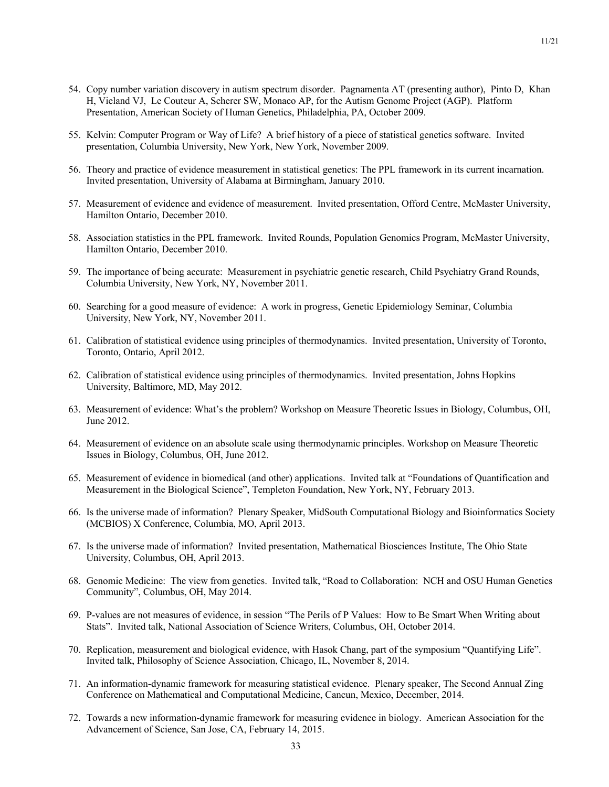- 54. Copy number variation discovery in autism spectrum disorder. Pagnamenta AT (presenting author), Pinto D, Khan H, Vieland VJ, Le Couteur A, Scherer SW, Monaco AP, for the Autism Genome Project (AGP). Platform Presentation, American Society of Human Genetics, Philadelphia, PA, October 2009.
- 55. Kelvin: Computer Program or Way of Life? A brief history of a piece of statistical genetics software. Invited presentation, Columbia University, New York, New York, November 2009.
- 56. Theory and practice of evidence measurement in statistical genetics: The PPL framework in its current incarnation. Invited presentation, University of Alabama at Birmingham, January 2010.
- 57. Measurement of evidence and evidence of measurement. Invited presentation, Offord Centre, McMaster University, Hamilton Ontario, December 2010.
- 58. Association statistics in the PPL framework. Invited Rounds, Population Genomics Program, McMaster University, Hamilton Ontario, December 2010.
- 59. The importance of being accurate: Measurement in psychiatric genetic research, Child Psychiatry Grand Rounds, Columbia University, New York, NY, November 2011.
- 60. Searching for a good measure of evidence: A work in progress, Genetic Epidemiology Seminar, Columbia University, New York, NY, November 2011.
- 61. Calibration of statistical evidence using principles of thermodynamics. Invited presentation, University of Toronto, Toronto, Ontario, April 2012.
- 62. Calibration of statistical evidence using principles of thermodynamics. Invited presentation, Johns Hopkins University, Baltimore, MD, May 2012.
- 63. Measurement of evidence: What's the problem? Workshop on Measure Theoretic Issues in Biology, Columbus, OH, June 2012.
- 64. Measurement of evidence on an absolute scale using thermodynamic principles. Workshop on Measure Theoretic Issues in Biology, Columbus, OH, June 2012.
- 65. Measurement of evidence in biomedical (and other) applications. Invited talk at "Foundations of Quantification and Measurement in the Biological Science", Templeton Foundation, New York, NY, February 2013.
- 66. Is the universe made of information? Plenary Speaker, MidSouth Computational Biology and Bioinformatics Society (MCBIOS) X Conference, Columbia, MO, April 2013.
- 67. Is the universe made of information? Invited presentation, Mathematical Biosciences Institute, The Ohio State University, Columbus, OH, April 2013.
- 68. Genomic Medicine: The view from genetics. Invited talk, "Road to Collaboration: NCH and OSU Human Genetics Community", Columbus, OH, May 2014.
- 69. P-values are not measures of evidence, in session "The Perils of P Values: How to Be Smart When Writing about Stats". Invited talk, National Association of Science Writers, Columbus, OH, October 2014.
- 70. Replication, measurement and biological evidence, with Hasok Chang, part of the symposium "Quantifying Life". Invited talk, Philosophy of Science Association, Chicago, IL, November 8, 2014.
- 71. An information-dynamic framework for measuring statistical evidence. Plenary speaker, The Second Annual Zing Conference on Mathematical and Computational Medicine, Cancun, Mexico, December, 2014.
- 72. Towards a new information-dynamic framework for measuring evidence in biology. American Association for the Advancement of Science, San Jose, CA, February 14, 2015.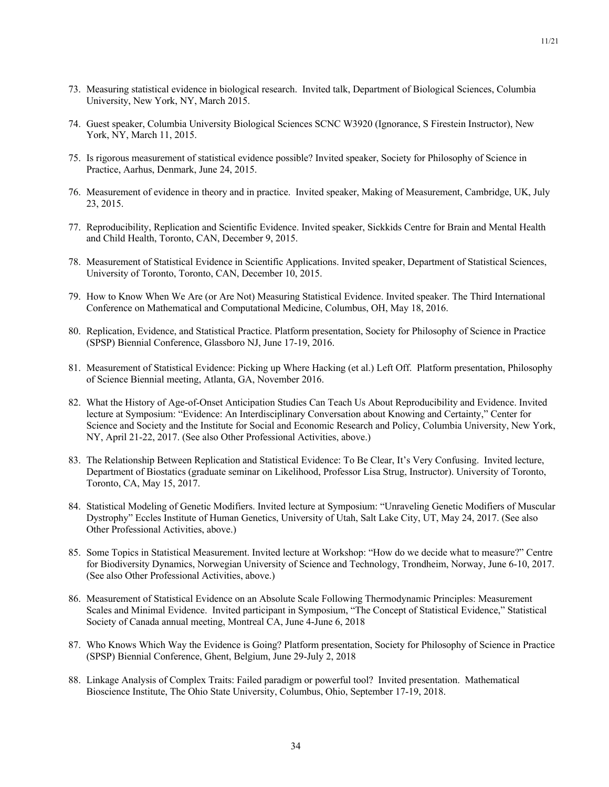- 73. Measuring statistical evidence in biological research. Invited talk, Department of Biological Sciences, Columbia University, New York, NY, March 2015.
- 74. Guest speaker, Columbia University Biological Sciences SCNC W3920 (Ignorance, S Firestein Instructor), New York, NY, March 11, 2015.
- 75. Is rigorous measurement of statistical evidence possible? Invited speaker, Society for Philosophy of Science in Practice, Aarhus, Denmark, June 24, 2015.
- 76. Measurement of evidence in theory and in practice. Invited speaker, Making of Measurement, Cambridge, UK, July 23, 2015.
- 77. Reproducibility, Replication and Scientific Evidence. Invited speaker, Sickkids Centre for Brain and Mental Health and Child Health, Toronto, CAN, December 9, 2015.
- 78. Measurement of Statistical Evidence in Scientific Applications. Invited speaker, Department of Statistical Sciences, University of Toronto, Toronto, CAN, December 10, 2015.
- 79. How to Know When We Are (or Are Not) Measuring Statistical Evidence. Invited speaker. The Third International Conference on Mathematical and Computational Medicine, Columbus, OH, May 18, 2016.
- 80. Replication, Evidence, and Statistical Practice. Platform presentation, Society for Philosophy of Science in Practice (SPSP) Biennial Conference, Glassboro NJ, June 17-19, 2016.
- 81. Measurement of Statistical Evidence: Picking up Where Hacking (et al.) Left Off. Platform presentation, Philosophy of Science Biennial meeting, Atlanta, GA, November 2016.
- 82. What the History of Age-of-Onset Anticipation Studies Can Teach Us About Reproducibility and Evidence. Invited lecture at Symposium: "Evidence: An Interdisciplinary Conversation about Knowing and Certainty," Center for Science and Society and the Institute for Social and Economic Research and Policy, Columbia University, New York, NY, April 21-22, 2017. (See also Other Professional Activities, above.)
- 83. The Relationship Between Replication and Statistical Evidence: To Be Clear, It's Very Confusing. Invited lecture, Department of Biostatics (graduate seminar on Likelihood, Professor Lisa Strug, Instructor). University of Toronto, Toronto, CA, May 15, 2017.
- 84. Statistical Modeling of Genetic Modifiers. Invited lecture at Symposium: "Unraveling Genetic Modifiers of Muscular Dystrophy" Eccles Institute of Human Genetics, University of Utah, Salt Lake City, UT, May 24, 2017. (See also Other Professional Activities, above.)
- 85. Some Topics in Statistical Measurement. Invited lecture at Workshop: "How do we decide what to measure?" Centre for Biodiversity Dynamics, Norwegian University of Science and Technology, Trondheim, Norway, June 6-10, 2017. (See also Other Professional Activities, above.)
- 86. Measurement of Statistical Evidence on an Absolute Scale Following Thermodynamic Principles: Measurement Scales and Minimal Evidence. Invited participant in Symposium, "The Concept of Statistical Evidence," Statistical Society of Canada annual meeting, Montreal CA, June 4-June 6, 2018
- 87. Who Knows Which Way the Evidence is Going? Platform presentation, Society for Philosophy of Science in Practice (SPSP) Biennial Conference, Ghent, Belgium, June 29-July 2, 2018
- 88. Linkage Analysis of Complex Traits: Failed paradigm or powerful tool? Invited presentation. Mathematical Bioscience Institute, The Ohio State University, Columbus, Ohio, September 17-19, 2018.